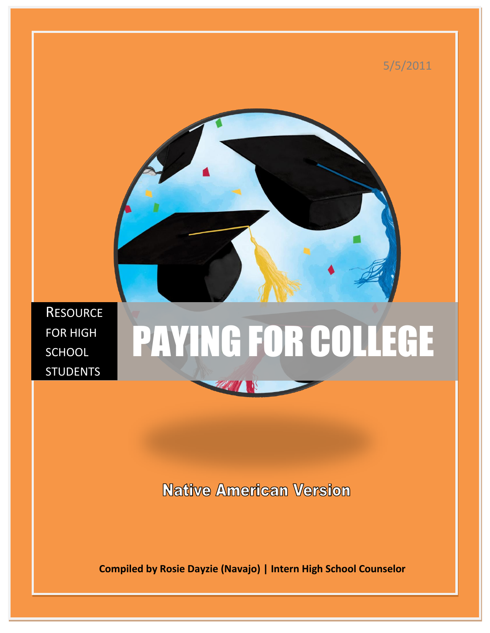

**Native American Version** 

 **Compiled by Rosie Dayzie (Navajo) | Intern High School Counselor**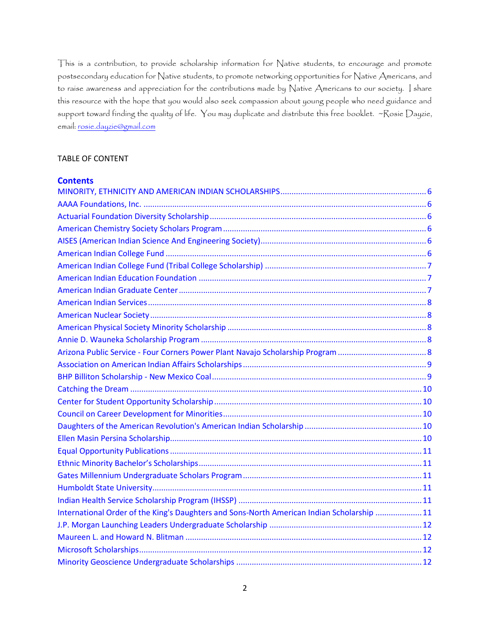This is a contribution, to provide scholarship information for Native students, to encourage and promote postsecondary education for Native students, to promote networking opportunities for Native Americans, and to raise awareness and appreciation for the contributions made by Native Americans to our society. I share this resource with the hope that you would also seek compassion about young people who need guidance and support toward finding the quality of life. You may duplicate and distribute this free booklet. ~Rosie Dayzie, email: [rosie.dayzie@gmail.com](mailto:rosie.dayzie@gmail.com)

## TABLE OF CONTENT

| <b>Contents</b>                                                                            |  |
|--------------------------------------------------------------------------------------------|--|
|                                                                                            |  |
|                                                                                            |  |
|                                                                                            |  |
|                                                                                            |  |
|                                                                                            |  |
|                                                                                            |  |
|                                                                                            |  |
|                                                                                            |  |
|                                                                                            |  |
|                                                                                            |  |
|                                                                                            |  |
|                                                                                            |  |
|                                                                                            |  |
|                                                                                            |  |
|                                                                                            |  |
|                                                                                            |  |
|                                                                                            |  |
|                                                                                            |  |
|                                                                                            |  |
|                                                                                            |  |
|                                                                                            |  |
|                                                                                            |  |
|                                                                                            |  |
|                                                                                            |  |
|                                                                                            |  |
|                                                                                            |  |
| International Order of the King's Daughters and Sons-North American Indian Scholarship  11 |  |
|                                                                                            |  |
|                                                                                            |  |
|                                                                                            |  |
|                                                                                            |  |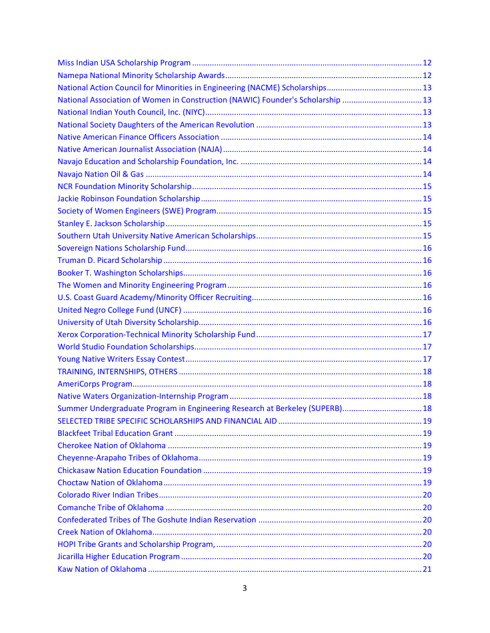| National Association of Women in Construction (NAWIC) Founder's Scholarship  13 |  |
|---------------------------------------------------------------------------------|--|
|                                                                                 |  |
|                                                                                 |  |
|                                                                                 |  |
|                                                                                 |  |
|                                                                                 |  |
|                                                                                 |  |
|                                                                                 |  |
|                                                                                 |  |
|                                                                                 |  |
|                                                                                 |  |
|                                                                                 |  |
|                                                                                 |  |
|                                                                                 |  |
|                                                                                 |  |
|                                                                                 |  |
|                                                                                 |  |
|                                                                                 |  |
|                                                                                 |  |
|                                                                                 |  |
|                                                                                 |  |
|                                                                                 |  |
|                                                                                 |  |
|                                                                                 |  |
|                                                                                 |  |
| Summer Undergraduate Program in Engineering Research at Berkeley (SUPERB) 18    |  |
|                                                                                 |  |
|                                                                                 |  |
|                                                                                 |  |
|                                                                                 |  |
|                                                                                 |  |
|                                                                                 |  |
|                                                                                 |  |
|                                                                                 |  |
|                                                                                 |  |
|                                                                                 |  |
|                                                                                 |  |
|                                                                                 |  |
|                                                                                 |  |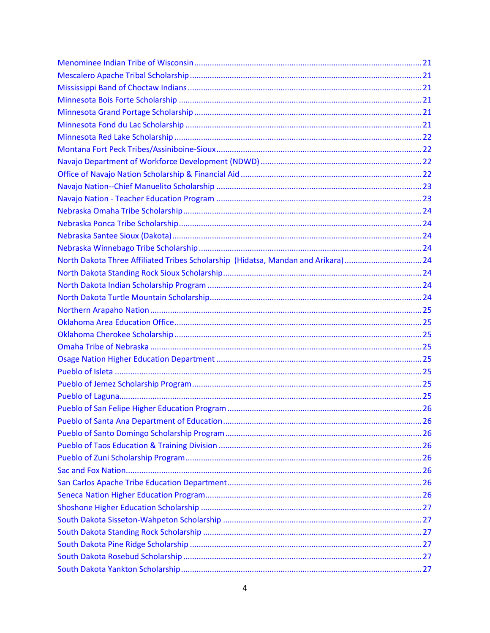| North Dakota Three Affiliated Tribes Scholarship (Hidatsa, Mandan and Arikara)24 |  |
|----------------------------------------------------------------------------------|--|
|                                                                                  |  |
|                                                                                  |  |
|                                                                                  |  |
|                                                                                  |  |
|                                                                                  |  |
|                                                                                  |  |
|                                                                                  |  |
|                                                                                  |  |
|                                                                                  |  |
|                                                                                  |  |
|                                                                                  |  |
|                                                                                  |  |
|                                                                                  |  |
|                                                                                  |  |
|                                                                                  |  |
|                                                                                  |  |
|                                                                                  |  |
|                                                                                  |  |
|                                                                                  |  |
|                                                                                  |  |
|                                                                                  |  |
|                                                                                  |  |
|                                                                                  |  |
|                                                                                  |  |
|                                                                                  |  |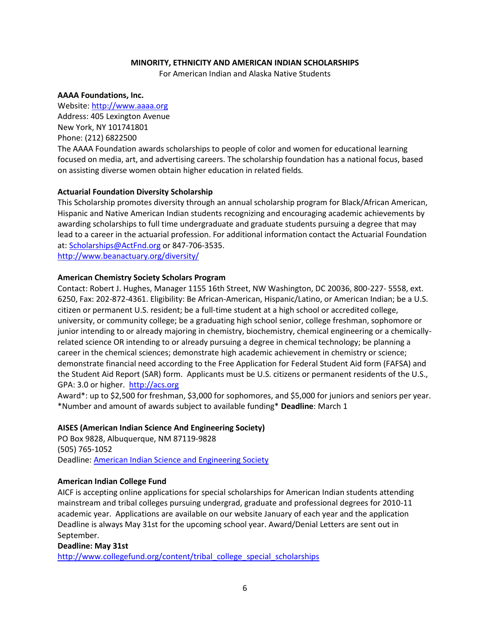# **MINORITY, ETHNICITY AND AMERICAN INDIAN SCHOLARSHIPS**

For American Indian and Alaska Native Students

#### <span id="page-5-1"></span><span id="page-5-0"></span>**AAAA Foundations, Inc.**

Website[: http://www.aaaa.org](http://www.aaaa.org/) Address: 405 Lexington Avenue New York, NY 101741801 Phone: (212) 6822500 The AAAA Foundation awards scholarships to people of color and women for educational learning focused on media, art, and advertising careers. The scholarship foundation has a national focus, based on assisting diverse women obtain higher education in related fields*.*

# <span id="page-5-2"></span>**Actuarial Foundation Diversity Scholarship**

This Scholarship promotes diversity through an annual scholarship program for Black/African American, Hispanic and Native American Indian students recognizing and encouraging academic achievements by awarding scholarships to full time undergraduate and graduate students pursuing a degree that may lead to a career in the actuarial profession. For additional information contact the Actuarial Foundation at: [Scholarships@ActFnd.org](mailto:Scholarships@ActFnd.org) or 847-706-3535.

<http://www.beanactuary.org/diversity/>

# <span id="page-5-3"></span>**American Chemistry Society Scholars Program**

Contact: Robert J. Hughes, Manager 1155 16th Street, NW Washington, DC 20036, 800-227- 5558, ext. 6250, Fax: 202-872-4361. Eligibility: Be African-American, Hispanic/Latino, or American Indian; be a U.S. citizen or permanent U.S. resident; be a full-time student at a high school or accredited college, university, or community college; be a graduating high school senior, college freshman, sophomore or junior intending to or already majoring in chemistry, biochemistry, chemical engineering or a chemicallyrelated science OR intending to or already pursuing a degree in chemical technology; be planning a career in the chemical sciences; demonstrate high academic achievement in chemistry or science; demonstrate financial need according to the Free Application for Federal Student Aid form (FAFSA) and the Student Aid Report (SAR) form. Applicants must be U.S. citizens or permanent residents of the U.S., GPA: 3.0 or higher. [http://acs.org](http://acs.org/)

Award\*: up to \$2,500 for freshman, \$3,000 for sophomores, and \$5,000 for juniors and seniors per year. \*Number and amount of awards subject to available funding\* **Deadline**: March 1

# <span id="page-5-4"></span>**AISES (American Indian Science And Engineering Society)**

PO Box 9828, Albuquerque, NM 87119‐9828 (505) 765‐1052 Deadline: [American Indian Science and Engineering Society](http://www.aises.org/)

# <span id="page-5-5"></span>**American Indian College Fund**

AICF is accepting online applications for special scholarships for American Indian students attending mainstream and tribal colleges pursuing undergrad, graduate and professional degrees for 2010-11 academic year. Applications are available on our website January of each year and the application Deadline is always May 31st for the upcoming school year. Award/Denial Letters are sent out in September.

# **Deadline: May 31st**

[http://www.collegefund.org/content/tribal\\_college\\_special\\_scholarships](http://www.collegefund.org/content/tribal_college_special_scholarships)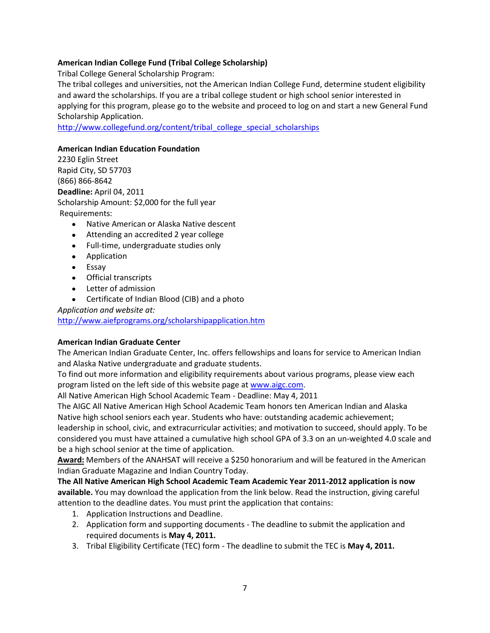# <span id="page-6-0"></span>**American Indian College Fund (Tribal College Scholarship)**

Tribal College General Scholarship Program:

The tribal colleges and universities, not the American Indian College Fund, determine student eligibility and award the scholarships. If you are a tribal college student or high school senior interested in applying for this program, please go to the website and proceed to log on and start a new General Fund Scholarship Application.

[http://www.collegefund.org/content/tribal\\_college\\_special\\_scholarships](http://www.collegefund.org/content/tribal_college_special_scholarships)

# <span id="page-6-1"></span>**American Indian Education Foundation**

2230 Eglin Street Rapid City, SD 57703 (866) 866-8642 **Deadline:** April 04, 2011 Scholarship Amount: \$2,000 for the full year Requirements:

- Native American or Alaska Native descent
- Attending an accredited 2 year college
- Full-time, undergraduate studies only
- **•** Application
- Essay
- Official transcripts
- Letter of admission
- Certificate of Indian Blood (CIB) and a photo

*Application and website at:*

<http://www.aiefprograms.org/scholarshipapplication.htm>

# <span id="page-6-2"></span>**American Indian Graduate Center**

The American Indian Graduate Center, Inc. offers fellowships and loans for service to American Indian and Alaska Native undergraduate and graduate students.

To find out more information and eligibility requirements about various programs, please view each program listed on the left side of this website page at [www.aigc.com.](http://www.aigc.com/)

All Native American High School Academic Team - Deadline: May 4, 2011

The AIGC All Native American High School Academic Team honors ten American Indian and Alaska Native high school seniors each year. Students who have: outstanding academic achievement; leadership in school, civic, and extracurricular activities; and motivation to succeed, should apply. To be considered you must have attained a cumulative high school GPA of 3.3 on an un-weighted 4.0 scale and be a high school senior at the time of application.

**Award:** Members of the ANAHSAT will receive a \$250 honorarium and will be featured in the American Indian Graduate Magazine and Indian Country Today.

**The All Native American High School Academic Team Academic Year 2011-2012 application is now available.** You may download the application from the link below. Read the instruction, giving careful attention to the deadline dates. You must print the application that contains:

- 1. Application Instructions and Deadline.
- 2. Application form and supporting documents The deadline to submit the application and required documents is **May 4, 2011.**
- 3. Tribal Eligibility Certificate (TEC) form The deadline to submit the TEC is **May 4, 2011.**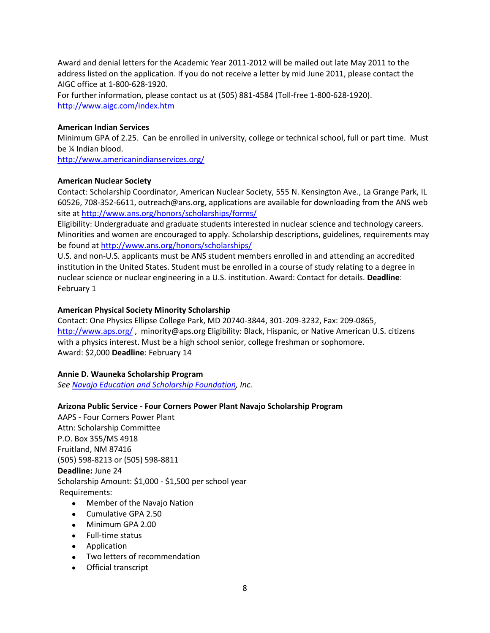Award and denial letters for the Academic Year 2011-2012 will be mailed out late May 2011 to the address listed on the application. If you do not receive a letter by mid June 2011, please contact the AIGC office at 1-800-628-1920. For further information, please contact us at (505) 881-4584 (Toll-free 1-800-628-1920). <http://www.aigc.com/index.htm>

# <span id="page-7-0"></span>**American Indian Services**

Minimum GPA of 2.25. Can be enrolled in university, college or technical school, full or part time. Must be ¼ Indian blood.

<http://www.americanindianservices.org/>

## <span id="page-7-1"></span>**American Nuclear Society**

Contact: Scholarship Coordinator, American Nuclear Society, 555 N. Kensington Ave., La Grange Park, IL 60526, 708-352-6611, outreach@ans.org, applications are available for downloading from the ANS web site at<http://www.ans.org/honors/scholarships/forms/>

Eligibility: Undergraduate and graduate students interested in nuclear science and technology careers. Minorities and women are encouraged to apply. Scholarship descriptions, guidelines, requirements may be found at<http://www.ans.org/honors/scholarships/>

U.S. and non-U.S. applicants must be ANS student members enrolled in and attending an accredited institution in the United States. Student must be enrolled in a course of study relating to a degree in nuclear science or nuclear engineering in a U.S. institution. Award: Contact for details. **Deadline**: February 1

## <span id="page-7-2"></span>**American Physical Society Minority Scholarship**

Contact: One Physics Ellipse College Park, MD 20740-3844, 301-209-3232, Fax: 209-0865, <http://www.aps.org/> , minority@aps.org Eligibility: Black, Hispanic, or Native American U.S. citizens with a physics interest. Must be a high school senior, college freshman or sophomore. Award: \$2,000 **Deadline**: February 14

# <span id="page-7-3"></span>**Annie D. Wauneka Scholarship Program**

*See [Navajo Education and Scholarship Foundation,](#page-13-2) Inc.*

# <span id="page-7-4"></span>**Arizona Public Service - Four Corners Power Plant Navajo Scholarship Program**

AAPS - Four Corners Power Plant Attn: Scholarship Committee P.O. Box 355/MS 4918 Fruitland, NM 87416 (505) 598-8213 or (505) 598-8811 **Deadline:** June 24 Scholarship Amount: \$1,000 - \$1,500 per school year Requirements:

- Member of the Navajo Nation
- Cumulative GPA 2.50
- Minimum GPA 2.00
- Full-time status
- Application
- Two letters of recommendation
- Official transcript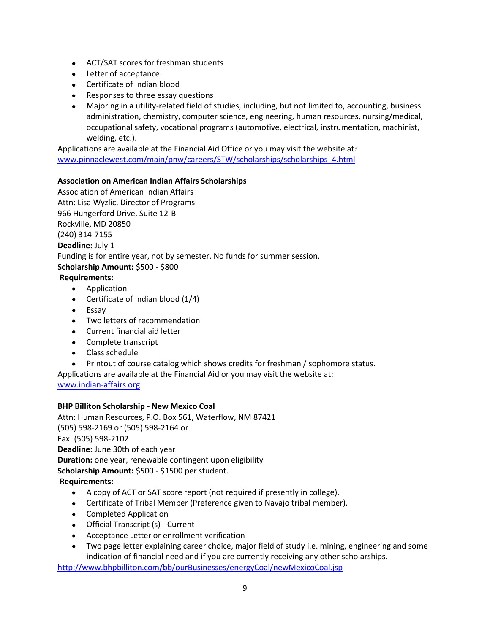- ACT/SAT scores for freshman students
- Letter of acceptance
- Certificate of Indian blood
- Responses to three essay questions
- Majoring in a utility-related field of studies, including, but not limited to, accounting, business administration, chemistry, computer science, engineering, human resources, nursing/medical, occupational safety, vocational programs (automotive, electrical, instrumentation, machinist, welding, etc.).

Applications are available at the Financial Aid Office or you may visit the website at*:* [www.pinnaclewest.com/main/pnw/careers/STW/scholarships/scholarships\\_4.html](http://www.pinnaclewest.com/main/pnw/careers/STW/scholarships/scholarships_4.html)

# <span id="page-8-0"></span>**Association on American Indian Affairs Scholarships**

Association of American Indian Affairs Attn: Lisa Wyzlic, Director of Programs 966 Hungerford Drive, Suite 12-B Rockville, MD 20850 (240) 314-7155 **Deadline:** July 1 Funding is for entire year, not by semester. No funds for summer session. **Scholarship Amount:** \$500 - \$800 **Requirements:**

- Application
- Certificate of Indian blood (1/4)
- Essay
- Two letters of recommendation
- Current financial aid letter
- Complete transcript
- Class schedule
- Printout of course catalog which shows credits for freshman / sophomore status.

Applications are available at the Financial Aid or you may visit the website at:

[www.indian-affairs.org](http://www.indian-affairs.org/)

# <span id="page-8-1"></span>**BHP Billiton Scholarship - New Mexico Coal**

Attn: Human Resources, P.O. Box 561, Waterflow, NM 87421 (505) 598-2169 or (505) 598-2164 or Fax: (505) 598-2102 **Deadline:** June 30th of each year **Duration:** one year, renewable contingent upon eligibility **Scholarship Amount:** \$500 - \$1500 per student. **Requirements:**

- A copy of ACT or SAT score report (not required if presently in college).
- Certificate of Tribal Member (Preference given to Navajo tribal member).
- Completed Application
- Official Transcript (s) Current
- Acceptance Letter or enrollment verification
- Two page letter explaining career choice, major field of study i.e. mining, engineering and some indication of financial need and if you are currently receiving any other scholarships.

<http://www.bhpbilliton.com/bb/ourBusinesses/energyCoal/newMexicoCoal.jsp>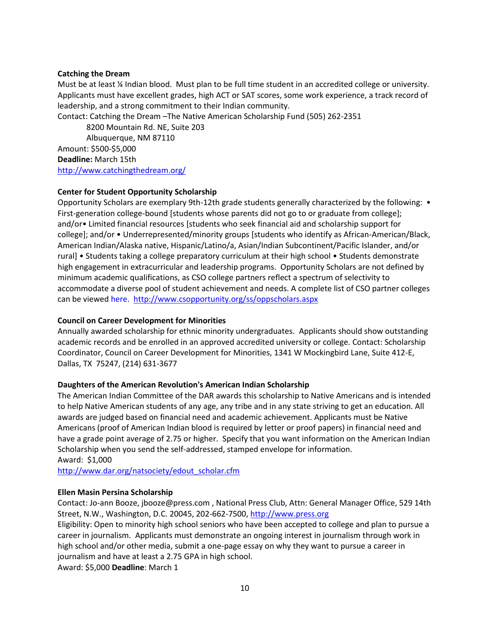## <span id="page-9-0"></span>**Catching the Dream**

Must be at least ¼ Indian blood. Must plan to be full time student in an accredited college or university. Applicants must have excellent grades, high ACT or SAT scores, some work experience, a track record of leadership, and a strong commitment to their Indian community.

Contact: Catching the Dream –The Native American Scholarship Fund (505) 262-2351

8200 Mountain Rd. NE, Suite 203 Albuquerque, NM 87110 Amount: \$500-\$5,000 **Deadline:** March 15th http://www.catchingthedream.org/

# <span id="page-9-1"></span>**Center for Student Opportunity Scholarship**

Opportunity Scholars are exemplary 9th-12th grade students generally characterized by the following: • First-generation college-bound [students whose parents did not go to or graduate from college]; and/or• Limited financial resources [students who seek financial aid and scholarship support for college]; and/or • Underrepresented/minority groups [students who identify as African-American/Black, American Indian/Alaska native, Hispanic/Latino/a, Asian/Indian Subcontinent/Pacific Islander, and/or rural] • Students taking a college preparatory curriculum at their high school • Students demonstrate high engagement in extracurricular and leadership programs. Opportunity Scholars are not defined by minimum academic qualifications, as CSO college partners reflect a spectrum of selectivity to accommodate a diverse pool of student achievement and needs. A complete list of CSO partner colleges can be viewe[d here.](http://csopportunity.org/college_partners/coll_partners.aspx) <http://www.csopportunity.org/ss/oppscholars.aspx>

# <span id="page-9-2"></span>**Council on Career Development for Minorities**

Annually awarded scholarship for ethnic minority undergraduates. Applicants should show outstanding academic records and be enrolled in an approved accredited university or college. Contact: Scholarship Coordinator, Council on Career Development for Minorities, 1341 W Mockingbird Lane, Suite 412-E, Dallas, TX 75247, (214) 631-3677

# <span id="page-9-3"></span>**Daughters of the American Revolution's American Indian Scholarship**

The American Indian Committee of the DAR awards this scholarship to Native Americans and is intended to help Native American students of any age, any tribe and in any state striving to get an education. All awards are judged based on financial need and academic achievement. Applicants must be Native Americans (proof of American Indian blood is required by letter or proof papers) in financial need and have a grade point average of 2.75 or higher. Specify that you want information on the American Indian Scholarship when you send the self-addressed, stamped envelope for information. Award: \$1,000

[http://www.dar.org/natsociety/edout\\_scholar.cfm](http://www.dar.org/natsociety/edout_scholar.cfm)

#### <span id="page-9-4"></span>**Ellen Masin Persina Scholarship**

Contact: Jo-ann Booze, jbooze@press.com , National Press Club, Attn: General Manager Office, 529 14th Street, N.W., Washington, D.C. 20045, 202-662-7500[, http://www.press.org](http://www.press.org/)

Eligibility: Open to minority high school seniors who have been accepted to college and plan to pursue a career in journalism. Applicants must demonstrate an ongoing interest in journalism through work in high school and/or other media, submit a one-page essay on why they want to pursue a career in journalism and have at least a 2.75 GPA in high school.

Award: \$5,000 **Deadline**: March 1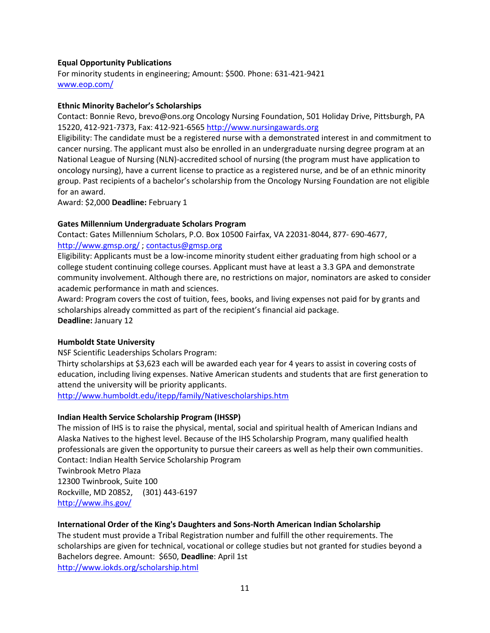# <span id="page-10-0"></span>**Equal Opportunity Publications**

For minority students in engineering; Amount: \$500. Phone: 631-421-9421 [www.eop.com/](http://www.eop.com/)

# <span id="page-10-1"></span>**Ethnic Minority Bachelor's Scholarships**

Contact: Bonnie Revo, brevo@ons.org Oncology Nursing Foundation, 501 Holiday Drive, Pittsburgh, PA 15220, 412-921-7373, Fax: 412-921-6565 [http://www.nursingawards.org](http://www.nursingawards.org/)

Eligibility: The candidate must be a registered nurse with a demonstrated interest in and commitment to cancer nursing. The applicant must also be enrolled in an undergraduate nursing degree program at an National League of Nursing (NLN)-accredited school of nursing (the program must have application to oncology nursing), have a current license to practice as a registered nurse, and be of an ethnic minority group. Past recipients of a bachelor's scholarship from the Oncology Nursing Foundation are not eligible for an award.

Award: \$2,000 **Deadline:** February 1

# <span id="page-10-2"></span>**Gates Millennium Undergraduate Scholars Program**

Contact: Gates Millennium Scholars, P.O. Box 10500 Fairfax, VA 22031-8044, 877- 690-4677, <http://www.gmsp.org/> [; contactus@gmsp.org](mailto:contactus@gmsp.org)

Eligibility: Applicants must be a low-income minority student either graduating from high school or a college student continuing college courses. Applicant must have at least a 3.3 GPA and demonstrate community involvement. Although there are, no restrictions on major, nominators are asked to consider academic performance in math and sciences.

Award: Program covers the cost of tuition, fees, books, and living expenses not paid for by grants and scholarships already committed as part of the recipient's financial aid package. **Deadline:** January 12

# <span id="page-10-3"></span>**Humboldt State University**

NSF Scientific Leaderships Scholars Program:

Thirty scholarships at \$3,623 each will be awarded each year for 4 years to assist in covering costs of education, including living expenses. Native American students and students that are first generation to attend the university will be priority applicants.

<http://www.humboldt.edu/itepp/family/Nativescholarships.htm>

# <span id="page-10-4"></span>**Indian Health Service Scholarship Program (IHSSP)**

The mission of IHS is to raise the physical, mental, social and spiritual health of American Indians and Alaska Natives to the highest level. Because of the IHS Scholarship Program, many qualified health professionals are given the opportunity to pursue their careers as well as help their own communities. Contact: Indian Health Service Scholarship Program

Twinbrook Metro Plaza 12300 Twinbrook, Suite 100 Rockville, MD 20852, (301) 443-6197 <http://www.ihs.gov/>

# <span id="page-10-5"></span>**International Order of the King's Daughters and Sons-North American Indian Scholarship**

The student must provide a Tribal Registration number and fulfill the other requirements. The scholarships are given for technical, vocational or college studies but not granted for studies beyond a Bachelors degree. Amount: \$650, **Deadline**: April 1st <http://www.iokds.org/scholarship.html>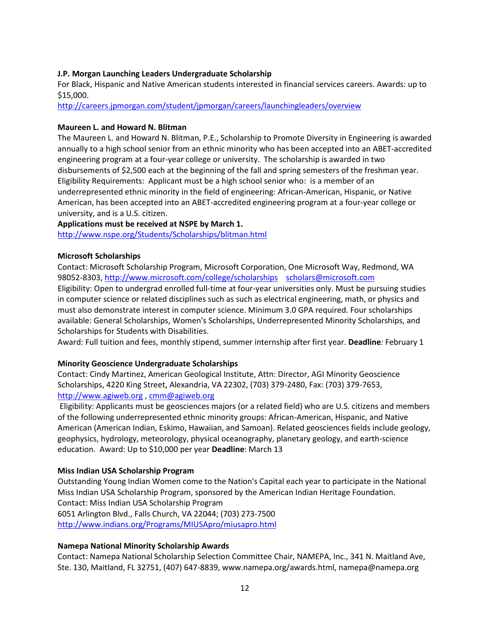# <span id="page-11-0"></span>**J.P. Morgan Launching Leaders Undergraduate Scholarship**

For Black, Hispanic and Native American students interested in financial services careers. Awards: up to \$15,000.

<http://careers.jpmorgan.com/student/jpmorgan/careers/launchingleaders/overview>

# <span id="page-11-1"></span>**Maureen L. and Howard N. Blitman**

The Maureen L. and Howard N. Blitman, P.E., Scholarship to Promote Diversity in Engineering is awarded annually to a high school senior from an ethnic minority who has been accepted into an [ABET-accredited](http://www.abet.org/)  [engineering program](http://www.abet.org/) at a four-year college or university. The scholarship is awarded in two disbursements of \$2,500 each at the beginning of the fall and spring semesters of the freshman year. Eligibility Requirements: Applicant must be a high school senior who: is a member of an underrepresented ethnic minority in the field of engineering: African-American, Hispanic, or Native American, has been accepted into an [ABET-accredited engineering program](http://www.abet.org/) at a four-year college or university, and is a U.S. citizen.

**Applications must be received at NSPE by March 1.**  <http://www.nspe.org/Students/Scholarships/blitman.html>

## <span id="page-11-2"></span>**Microsoft Scholarships**

Contact: Microsoft Scholarship Program, Microsoft Corporation, One Microsoft Way, Redmond, WA 98052-8303,<http://www.microsoft.com/college/scholarships>[scholars@microsoft.com](mailto:scholars@microsoft.com) Eligibility: Open to undergrad enrolled full-time at four-year universities only. Must be pursuing studies in computer science or related disciplines such as such as electrical engineering, math, or physics and must also demonstrate interest in computer science. Minimum 3.0 GPA required. Four scholarships available: General Scholarships, Women's Scholarships, Underrepresented Minority Scholarships, and Scholarships for Students with Disabilities.

Award: Full tuition and fees, monthly stipend, summer internship after first year. **Deadline***:* February 1

# <span id="page-11-3"></span>**Minority Geoscience Undergraduate Scholarships**

Contact: Cindy Martinez, American Geological Institute, Attn: Director, AGI Minority Geoscience Scholarships, 4220 King Street, Alexandria, VA 22302, (703) 379-2480, Fax: (703) 379-7653, [http://www.agiweb.org](http://www.agiweb.org/) , [cmm@agiweb.org](mailto:cmm@agiweb.org)

Eligibility: Applicants must be geosciences majors (or a related field) who are U.S. citizens and members of the following underrepresented ethnic minority groups: African-American, Hispanic, and Native American (American Indian, Eskimo, Hawaiian, and Samoan). Related geosciences fields include geology, geophysics, hydrology, meteorology, physical oceanography, planetary geology, and earth-science education. Award: Up to \$10,000 per year **Deadline**: March 13

#### <span id="page-11-4"></span>**Miss Indian USA Scholarship Program**

Outstanding Young Indian Women come to the Nation's Capital each year to participate in the National Miss India[n USA](http://www.indians.org/Programs/MIUSApro/miusapro.html) Scholarship Program, sponsored by the American Indian Heritage Foundation. Contact: Miss Indian USA Scholarship Program 6051 Arlington Blvd., Falls Church, VA 22044; (703) 273-7500 http://www.indians.org/Programs/MIUSApro/miusapro.html

# <span id="page-11-5"></span>**Namepa National Minority Scholarship Awards**

Contact: Namepa National Scholarship Selection Committee Chair, NAMEPA, Inc., 341 N. Maitland Ave, Ste. 130, Maitland, FL 32751, (407) 647-8839, www.namepa.org/awards.html, namepa@namepa.org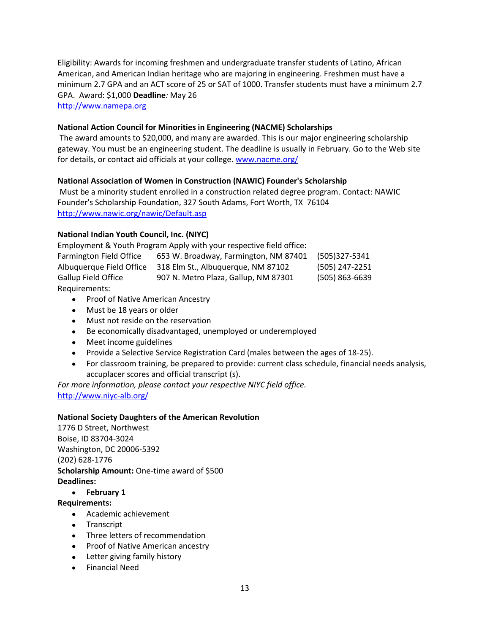Eligibility: Awards for incoming freshmen and undergraduate transfer students of Latino, African American, and American Indian heritage who are majoring in engineering. Freshmen must have a minimum 2.7 GPA and an ACT score of 25 or SAT of 1000. Transfer students must have a minimum 2.7 GPA. Award: \$1,000 **Deadline***:* May 26 [http://www.namepa.org](http://www.namepa.org/)

# <span id="page-12-0"></span>**National Action Council for Minorities in Engineering (NACME) Scholarships**

The award amounts to \$20,000, and many are awarded. This is our major engineering scholarship gateway. You must be an engineering student. The deadline is usually in February. Go to the Web site for details, or contact aid officials at your college. [www.nacme.org/](http://www.nacme.org/)

## <span id="page-12-1"></span>**National Association of Women in Construction (NAWIC) Founder's Scholarship**

Must be a minority student enrolled in a construction related degree program. Contact: NAWIC Founder's Scholarship Foundation, 327 South Adams, Fort Worth, TX 76104 <http://www.nawic.org/nawic/Default.asp>

# <span id="page-12-2"></span>**National Indian Youth Council, Inc. (NIYC)**

|                                | Employment & Youth Program Apply with your respective field office: |                    |
|--------------------------------|---------------------------------------------------------------------|--------------------|
| <b>Farmington Field Office</b> | 653 W. Broadway, Farmington, NM 87401                               | (505)327-5341      |
| Albuquerque Field Office       | 318 Elm St., Albuguergue, NM 87102                                  | (505) 247-2251     |
| Gallup Field Office            | 907 N. Metro Plaza, Gallup, NM 87301                                | $(505) 863 - 6639$ |
| Requirements:                  |                                                                     |                    |

- Proof of Native American Ancestry
- Must be 18 years or older
- Must not reside on the reservation
- Be economically disadvantaged, unemployed or underemployed
- Meet income guidelines
- Provide a Selective Service Registration Card (males between the ages of 18-25).
- For classroom training, be prepared to provide: current class schedule, financial needs analysis, accuplacer scores and official transcript (s).

*For more information, please contact your respective NIYC field office.* <http://www.niyc-alb.org/>

#### <span id="page-12-3"></span>**National Society Daughters of the American Revolution**

1776 D Street, Northwest Boise, ID 83704-3024 Washington, DC 20006-5392 (202) 628-1776 **Scholarship Amount:** One-time award of \$500 **Deadlines:**

#### **February 1**

#### **Requirements:**

- Academic achievement
- Transcript
- Three letters of recommendation
- Proof of Native American ancestry
- Letter giving family history
- Financial Need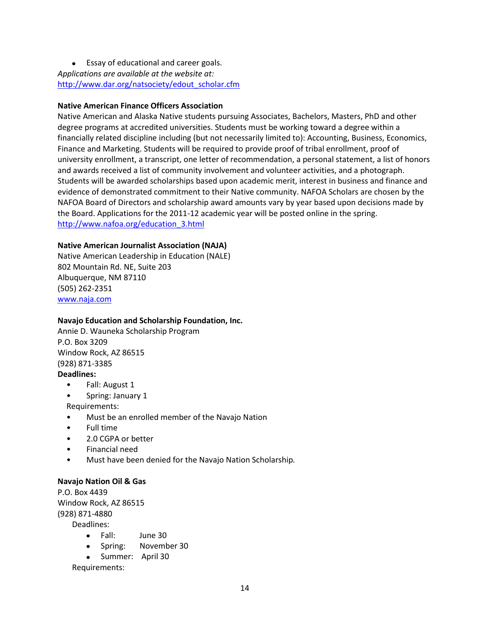Essay of educational and career goals. *Applications are available at the website at:* [http://www.dar.org/natsociety/edout\\_scholar.cfm](http://www.dar.org/natsociety/edout_scholar.cfm)

# <span id="page-13-0"></span>**Native American Finance Officers Association**

Native American and Alaska Native students pursuing Associates, Bachelors, Masters, PhD and other degree programs at accredited universities. Students must be working toward a degree within a financially related discipline including (but not necessarily limited to): Accounting, Business, Economics, Finance and Marketing. Students will be required to provide proof of tribal enrollment, proof of university enrollment, a transcript, one letter of recommendation, a personal statement, a list of honors and awards received a list of community involvement and volunteer activities, and a photograph. Students will be awarded scholarships based upon academic merit, interest in business and finance and evidence of demonstrated commitment to their Native community. NAFOA Scholars are chosen by the NAFOA Board of Directors and scholarship award amounts vary by year based upon decisions made by the Board. Applications for the 2011-12 academic year will be posted online in the spring. [http://www.nafoa.org/education\\_3.html](http://www.nafoa.org/education_3.html)

## <span id="page-13-1"></span>**Native American Journalist Association (NAJA)**

Native American Leadership in Education (NALE) 802 Mountain Rd. NE, Suite 203 Albuquerque, NM 87110 (505) 262-2351 [www.naja.com](http://www.naja.com/)

# <span id="page-13-2"></span>**Navajo Education and Scholarship Foundation, Inc.**

Annie D. Wauneka Scholarship Program P.O. Box 3209 Window Rock, AZ 86515 (928) 871-3385

# **Deadlines:**

- Fall: August 1
- Spring: January 1
- Requirements:
- Must be an enrolled member of the Navajo Nation
- Full time
- 2.0 CGPA or better
- Financial need
- Must have been denied for the Navajo Nation Scholarship*.*

#### <span id="page-13-3"></span>**Navajo Nation Oil & Gas**

P.O. Box 4439 Window Rock, AZ 86515 (928) 871-4880 Deadlines:

- Fall: June 30
- Spring: November 30
- Summer: April 30

Requirements: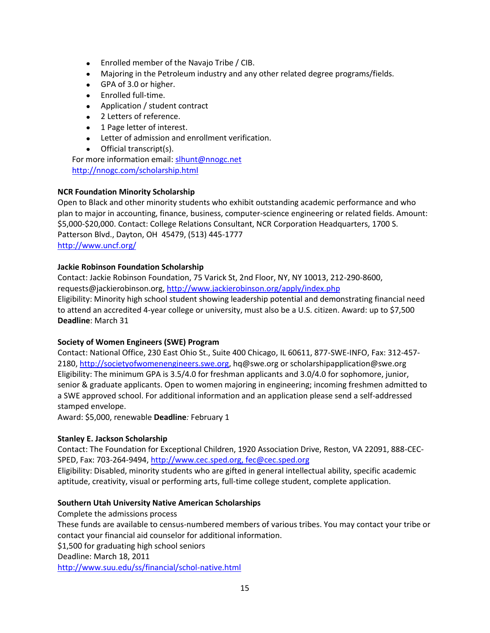- Enrolled member of the Navajo Tribe / CIB.
- Majoring in the Petroleum industry and any other related degree programs/fields.
- GPA of 3.0 or higher.
- Enrolled full-time.
- Application / student contract
- 2 Letters of reference.
- 1 Page letter of interest.
- Letter of admission and enrollment verification.
- Official transcript(s).

For more information email: [slhunt@nnogc.net](mailto:slhunt@nnogc.net) <http://nnogc.com/scholarship.html>

# <span id="page-14-0"></span>**NCR Foundation Minority Scholarship**

Open to Black and other minority students who exhibit outstanding academic performance and who plan to major in accounting, finance, business, computer-science engineering or related fields. Amount: \$5,000-\$20,000. Contact: College Relations Consultant, NCR Corporation Headquarters, 1700 S. Patterson Blvd., Dayton, OH 45479, (513) 445-1777 <http://www.uncf.org/>

## <span id="page-14-1"></span>**Jackie Robinson Foundation Scholarship**

Contact: Jackie Robinson Foundation, 75 Varick St, 2nd Floor, NY, NY 10013, 212-290-8600, requests@jackierobinson.org,<http://www.jackierobinson.org/apply/index.php> Eligibility: Minority high school student showing leadership potential and demonstrating financial need to attend an accredited 4-year college or university, must also be a U.S. citizen. Award: up to \$7,500 **Deadline**: March 31

#### <span id="page-14-2"></span>**Society of Women Engineers (SWE) Program**

Contact: National Office, 230 East Ohio St., Suite 400 Chicago, IL 60611, 877-SWE-INFO, Fax: 312-457- 2180[, http://societyofwomenengineers.swe.org,](http://societyofwomenengineers.swe.org/) hq@swe.org or scholarshipapplication@swe.org Eligibility: The minimum GPA is 3.5/4.0 for freshman applicants and 3.0/4.0 for sophomore, junior, senior & graduate applicants. Open to women majoring in engineering; incoming freshmen admitted to a SWE approved school. For additional information and an application please send a self-addressed stamped envelope.

Award: \$5,000, renewable **Deadline***:* February 1

#### <span id="page-14-3"></span>**Stanley E. Jackson Scholarship**

Contact: The Foundation for Exceptional Children, 1920 Association Drive, Reston, VA 22091, 888-CEC-SPED, Fax: 703-264-9494[, http://www.cec.sped.org, fec@cec.sped.org](http://www.cec.sped.org,%20fec@cec.sped.org/)

Eligibility: Disabled, minority students who are gifted in general intellectual ability, specific academic aptitude, creativity, visual or performing arts, full-time college student, complete application.

# <span id="page-14-4"></span>**Southern Utah University Native American Scholarships**

Complete the admissions process These funds are available to census-numbered members of various tribes. You may contact your tribe or contact your financial aid counselor for additional information. \$1,500 for graduating high school seniors Deadline: March 18, 2011 <http://www.suu.edu/ss/financial/schol-native.html>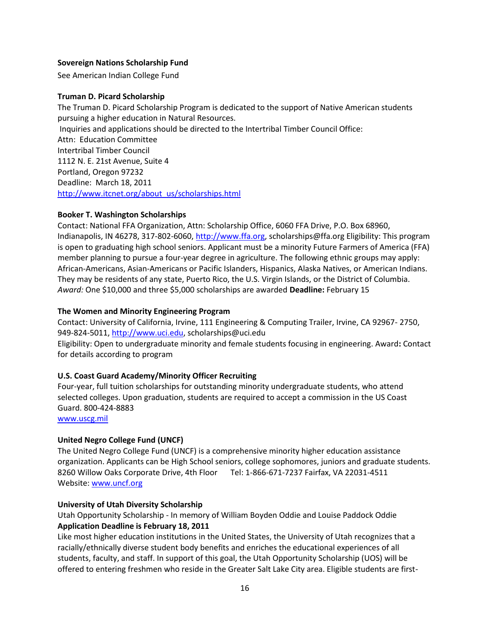# <span id="page-15-0"></span>**Sovereign Nations Scholarship Fund**

See American Indian College Fund

# <span id="page-15-1"></span>**Truman D. Picard Scholarship**

The Truman D. Picard Scholarship Program is dedicated to the support of Native American students pursuing a higher education in Natural Resources. Inquiries and applications should be directed to the Intertribal Timber Council Office: Attn: Education Committee Intertribal Timber Council 1112 N. E. 21st Avenue, Suite 4 Portland, Oregon 97232 Deadline: March 18, 2011 [http://www.itcnet.org/about\\_us/scholarships.html](http://www.itcnet.org/about_us/scholarships.html)

## <span id="page-15-2"></span>**Booker T. Washington Scholarships**

Contact: National FFA Organization, Attn: Scholarship Office, 6060 FFA Drive, P.O. Box 68960, Indianapolis, IN 46278, 317-802-6060[, http://www.ffa.org,](http://www.ffa.org/) scholarships@ffa.org Eligibility: This program is open to graduating high school seniors. Applicant must be a minority Future Farmers of America (FFA) member planning to pursue a four-year degree in agriculture. The following ethnic groups may apply: African-Americans, Asian-Americans or Pacific Islanders, Hispanics, Alaska Natives, or American Indians. They may be residents of any state, Puerto Rico, the U.S. Virgin Islands, or the District of Columbia. *Award:* One \$10,000 and three \$5,000 scholarships are awarded **Deadline:** February 15

## <span id="page-15-3"></span>**The Women and Minority Engineering Program**

Contact: University of California, Irvine, 111 Engineering & Computing Trailer, Irvine, CA 92967- 2750, 949-824-5011[, http://www.uci.edu,](http://www.uci.edu/) scholarships@uci.edu Eligibility: Open to undergraduate minority and female students focusing in engineering. Award**:** Contact for details according to program

# <span id="page-15-4"></span>**U.S. Coast Guard Academy/Minority Officer Recruiting**

Four-year, full tuition scholarships for outstanding minority undergraduate students, who attend selected colleges. Upon graduation, students are required to accept a commission in the US Coast Guard. 800-424-8883

[www.uscg.mil](http://www.uscg.mil/)

# <span id="page-15-5"></span>**United Negro College Fund (UNCF)**

The United Negro College Fund (UNCF) is a comprehensive minority higher education assistance organization. Applicants can be High School seniors, college sophomores, juniors and graduate students. 8260 Willow Oaks Corporate Drive, 4th Floor Tel: 1-866-671-7237 Fairfax, VA 22031-4511 Website[: www.uncf.org](http://www.uncf.org/)

# <span id="page-15-6"></span>**University of Utah Diversity Scholarship**

Utah Opportunity Scholarship - In memory of William Boyden Oddie and Louise Paddock Oddie **Application Deadline is February 18, 2011**

Like most higher education institutions in the United States, the University of Utah recognizes that a racially/ethnically diverse student body benefits and enriches the educational experiences of all students, faculty, and staff. In support of this goal, the Utah Opportunity Scholarship (UOS) will be offered to entering freshmen who reside in the Greater Salt Lake City area. Eligible students are first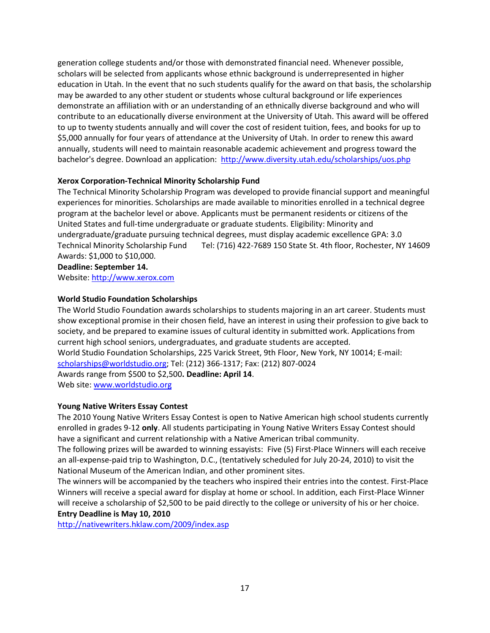generation college students and/or those with demonstrated financial need. Whenever possible, scholars will be selected from applicants whose ethnic background is underrepresented in higher education in Utah. In the event that no such students qualify for the award on that basis, the scholarship may be awarded to any other student or students whose cultural background or life experiences demonstrate an affiliation with or an understanding of an ethnically diverse background and who will contribute to an educationally diverse environment at the University of Utah. This award will be offered to up to twenty students annually and will cover the cost of resident tuition, fees, and books for up to \$5,000 annually for four years of attendance at the University of Utah. In order to renew this award annually, students will need to maintain reasonable academic achievement and progress toward the bachelor's degree. [Download an application:](http://www.diversity.utah.edu/scholarships/2011_Utah_Opportunity_Scholarship_Packet.pdf) <http://www.diversity.utah.edu/scholarships/uos.php>

# <span id="page-16-0"></span>**Xerox Corporation-Technical Minority Scholarship Fund**

The Technical Minority Scholarship Program was developed to provide financial support and meaningful experiences for minorities. Scholarships are made available to minorities enrolled in a technical degree program at the bachelor level or above. Applicants must be permanent residents or citizens of the United States and full-time undergraduate or graduate students. Eligibility: Minority and undergraduate/graduate pursuing technical degrees, must display academic excellence GPA: 3.0 Technical Minority Scholarship Fund Tel: (716) 422-7689 150 State St. 4th floor, Rochester, NY 14609 Awards: \$1,000 to \$10,000.

**Deadline: September 14.**

Website[: http://www.xerox.com](http://www.xerox.com/) 

# <span id="page-16-1"></span>**World Studio Foundation Scholarships**

The World Studio Foundation awards scholarships to students majoring in an art career. Students must show exceptional promise in their chosen field, have an interest in using their profession to give back to society, and be prepared to examine issues of cultural identity in submitted work. Applications from current high school seniors, undergraduates, and graduate students are accepted. World Studio Foundation Scholarships, 225 Varick Street, 9th Floor, New York, NY 10014; E-mail: [scholarships@worldstudio.org;](mailto:scholarships@worldstudio.org) Tel: (212) 366-1317; Fax: (212) 807-0024 Awards range from \$500 to \$2,500**. Deadline: April 14**.

Web site: [www.worldstudio.org](http://www.worldstudio.org/)

# <span id="page-16-2"></span>**Young Native Writers Essay Contest**

The 2010 Young Native Writers Essay Contest is open to Native American high school students currently enrolled in grades 9-12 **only**. All students participating in Young Native Writers Essay Contest should have a significant and current relationship with a Native American tribal community.

The following prizes will be awarded to winning essayists: Five (5) First-Place Winners will each receive an all-expense-paid trip to Washington, D.C., (tentatively scheduled for July 20-24, 2010) to visit the National Museum of the American Indian, and other prominent sites.

The winners will be accompanied by the teachers who inspired their entries into the contest. First-Place Winners will receive a special award for display at home or school. In addition, each First-Place Winner will receive a scholarship of \$2,500 to be paid directly to the college or university of his or her choice. **Entry Deadline is May 10, 2010**

<http://nativewriters.hklaw.com/2009/index.asp>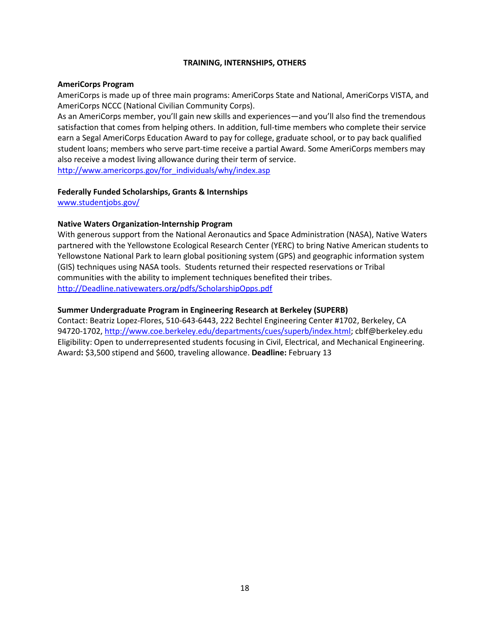# **TRAINING, INTERNSHIPS, OTHERS**

#### <span id="page-17-1"></span><span id="page-17-0"></span>**AmeriCorps Program**

AmeriCorps is made up of three main programs: AmeriCorps State and National, AmeriCorps VISTA, and AmeriCorps NCCC (National Civilian Community Corps).

As an AmeriCorps member, you'll gain new skills and experiences—and you'll also find the tremendous satisfaction that comes from helping others. In addition, full-time members who complete their service earn a Segal AmeriCorps Education Award to pay for college, graduate school, or to pay back qualified student loans; members who serve part-time receive a partial Award. Some AmeriCorps members may also receive a modest living allowance during their term of service. [http://www.americorps.gov/for\\_individuals/why/index.asp](http://www.americorps.gov/for_individuals/why/index.asp)

## **Federally Funded Scholarships, Grants & Internships**

[www.studentjobs.gov/](http://www.studentjobs.gov/)

# <span id="page-17-2"></span>**Native Waters Organization-Internship Program**

With generous support from the National Aeronautics and Space Administration (NASA), Native Waters partnered with the Yellowstone Ecological Research Center (YERC) to bring Native American students to Yellowstone National Park to learn global positioning system (GPS) and geographic information system (GIS) techniques using NASA tools. Students returned their respected reservations or Tribal communities with the ability to implement techniques benefited their tribes. [http://Deadline.nativewaters.org/pdfs/ScholarshipOpps.pdf](http://www.nativewaters.org/pdfs/ScholarshipOpps.pdf)

## <span id="page-17-3"></span>**Summer Undergraduate Program in Engineering Research at Berkeley (SUPERB)**

Contact: Beatriz Lopez-Flores, 510-643-6443, 222 Bechtel Engineering Center #1702, Berkeley, CA 94720-1702, [http://www.coe.berkeley.edu/departments/cues/superb/index.html;](http://www.coe.berkeley.edu/departments/cues/superb/index.html) cblf@berkeley.edu Eligibility: Open to underrepresented students focusing in Civil, Electrical, and Mechanical Engineering. Award**:** \$3,500 stipend and \$600, traveling allowance. **Deadline:** February 13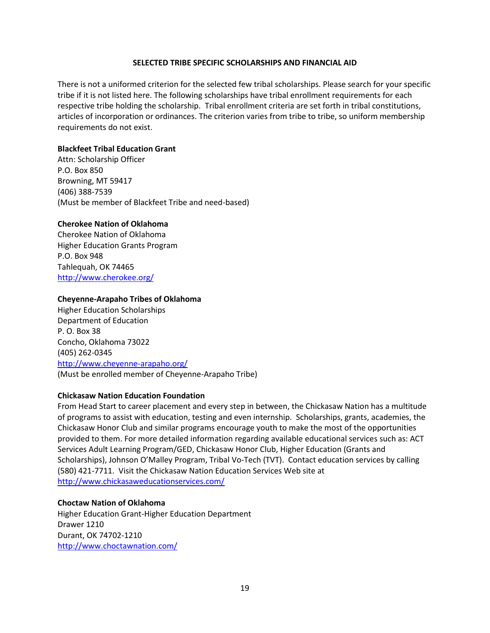#### **SELECTED TRIBE SPECIFIC SCHOLARSHIPS AND FINANCIAL AID**

<span id="page-18-0"></span>There is not a uniformed criterion for the selected few tribal scholarships. Please search for your specific tribe if it is not listed here. The following scholarships have tribal enrollment requirements for each respective tribe holding the scholarship. Tribal enrollment criteria are set forth in tribal constitutions, articles of incorporation or ordinances. The criterion varies from tribe to tribe, so uniform membership requirements do not exist.

# <span id="page-18-1"></span>**Blackfeet Tribal Education Grant**

Attn: Scholarship Officer P.O. Box 850 Browning, MT 59417 (406) 388-7539 (Must be member of Blackfeet Tribe and need-based)

# <span id="page-18-2"></span>**Cherokee Nation of Oklahoma**

Cherokee Nation of Oklahoma Higher Education Grants Program P.O. Box 948 Tahlequah, OK 74465 <http://www.cherokee.org/>

## <span id="page-18-3"></span>**Cheyenne-Arapaho Tribes of Oklahoma**

Higher Education Scholarships Department of Education P. O. Box 38 Concho, Oklahoma 73022 (405) 262-0345 <http://www.cheyenne-arapaho.org/> (Must be enrolled member of Cheyenne-Arapaho Tribe)

# <span id="page-18-4"></span>**Chickasaw Nation Education Foundation**

From Head Start to career placement and every step in between, the Chickasaw Nation has a multitude of programs to assist with education, testing and even internship. Scholarships, grants, academies, the Chickasaw Honor Club and similar programs encourage youth to make the most of the opportunities provided to them. For more detailed information regarding available educational services such as: ACT Services Adult Learning Program/GED, Chickasaw Honor Club, Higher Education (Grants and Scholarships), Johnson O'Malley Program, Tribal Vo-Tech (TVT). Contact education services by calling (580) 421-7711. Visit the Chickasaw Nation Education Services Web site at <http://www.chickasaweducationservices.com/>

#### <span id="page-18-5"></span>**Choctaw Nation of Oklahoma**

Higher Education Grant-Higher Education Department Drawer 1210 Durant, OK 74702-1210 <http://www.choctawnation.com/>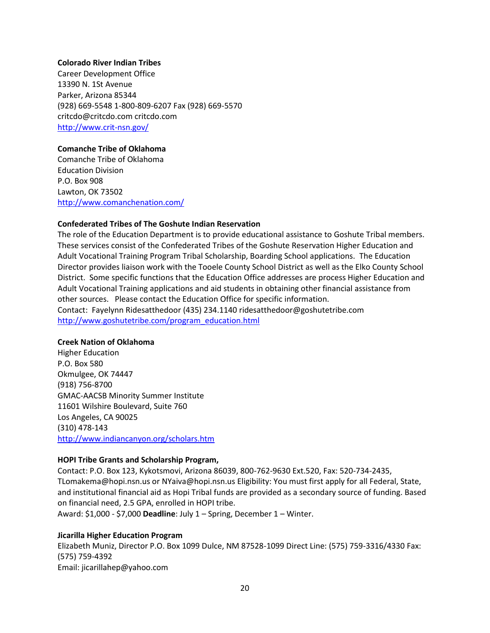#### <span id="page-19-0"></span>**Colorado River Indian Tribes**

Career Development Office 13390 N. 1St Avenue Parker, Arizona 85344 (928) 669-5548 1-800-809-6207 Fax (928) 669-5570 critcdo@critcdo.com critcdo.com <http://www.crit-nsn.gov/>

# <span id="page-19-1"></span>**Comanche Tribe of Oklahoma**

Comanche Tribe of Oklahoma Education Division P.O. Box 908 Lawton, OK 73502 <http://www.comanchenation.com/>

## <span id="page-19-2"></span>**Confederated Tribes of The Goshute Indian Reservation**

The role of the Education Department is to provide educational assistance to Goshute Tribal members. These services consist of the Confederated Tribes of the Goshute Reservation Higher Education and Adult Vocational Training Program Tribal Scholarship, Boarding School applications. The Education Director provides liaison work with the Tooele County School District as well as the Elko County School District. Some specific functions that the Education Office addresses are process Higher Education and Adult Vocational Training applications and aid students in obtaining other financial assistance from other sources. Please contact the Education Office for specific information. Contact: Fayelynn Ridesatthedoor (435) 234.1140 [ridesatthedoor@goshutetribe.com](mailto:ridesatthedoor@goshutetribe.com) [http://www.goshutetribe.com/program\\_education.html](http://www.goshutetribe.com/program_education.html)

#### <span id="page-19-3"></span>**Creek Nation of Oklahoma**

Higher Education P.O. Box 580 Okmulgee, OK 74447 (918) 756-8700 GMAC-AACSB Minority Summer Institute 11601 Wilshire Boulevard, Suite 760 Los Angeles, CA 90025 (310) 478-143 <http://www.indiancanyon.org/scholars.htm>

# <span id="page-19-4"></span>**HOPI Tribe Grants and Scholarship Program,**

Contact: P.O. Box 123, Kykotsmovi, Arizona 86039, 800-762-9630 Ext.520, Fax: 520-734-2435, TLomakema@hopi.nsn.us or NYaiva@hopi.nsn.us Eligibility: You must first apply for all Federal, State, and institutional financial aid as Hopi Tribal funds are provided as a secondary source of funding. Based on financial need, 2.5 GPA, enrolled in HOPI tribe.

Award: \$1,000 - \$7,000 **Deadline**: July 1 – Spring, December 1 – Winter.

# <span id="page-19-5"></span>**Jicarilla Higher Education Program**

Elizabeth Muniz, Director P.O. Box 1099 Dulce, NM 87528-1099 Direct Line: (575) 759-3316/4330 Fax: (575) 759-4392 Email: jicarillahep@yahoo.com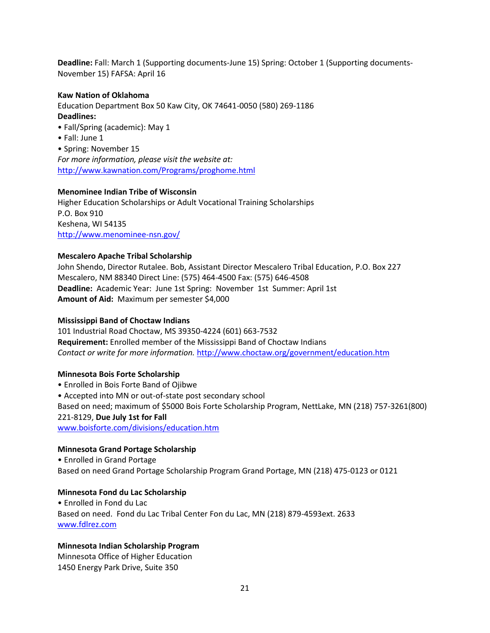**Deadline:** Fall: March 1 (Supporting documents-June 15) Spring: October 1 (Supporting documents-November 15) FAFSA: April 16

# <span id="page-20-0"></span>**Kaw Nation of Oklahoma**

Education Department Box 50 Kaw City, OK 74641-0050 (580) 269-1186 **Deadlines:** 

- Fall/Spring (academic): May 1
- Fall: June 1

• Spring: November 15 *For more information, please visit the website at:*  <http://www.kawnation.com/Programs/proghome.html>

## <span id="page-20-1"></span>**Menominee Indian Tribe of Wisconsin**

Higher Education Scholarships or Adult Vocational Training Scholarships P.O. Box 910 Keshena, WI 54135 <http://www.menominee-nsn.gov/>

# <span id="page-20-2"></span>**Mescalero Apache Tribal Scholarship**

John Shendo, Director Rutalee. Bob, Assistant Director Mescalero Tribal Education, P.O. Box 227 Mescalero, NM 88340 Direct Line: (575) 464-4500 Fax: (575) 646-4508 **Deadline:** Academic Year: June 1st Spring: November 1st Summer: April 1st **Amount of Aid:** Maximum per semester \$4,000

# <span id="page-20-3"></span>**Mississippi Band of Choctaw Indians**

101 Industrial Road Choctaw, MS 39350-4224 (601) 663-7532 **Requirement:** Enrolled member of the Mississippi Band of Choctaw Indians *Contact or write for more information.* <http://www.choctaw.org/government/education.htm>

# <span id="page-20-4"></span>**Minnesota Bois Forte Scholarship**

• Enrolled in Bois Forte Band of Ojibwe • Accepted into MN or out-of-state post secondary school Based on need; maximum of \$5000 Bois Forte Scholarship Program, NettLake, MN (218) 757-3261(800) 221-8129, **Due July 1st for Fall**  [www.boisforte.com/divisions/education.htm](http://www.boisforte.com/divisions/education.htm)

# <span id="page-20-5"></span>**Minnesota Grand Portage Scholarship**

• Enrolled in Grand Portage Based on need Grand Portage Scholarship Program Grand Portage, MN (218) 475-0123 or 0121

# <span id="page-20-6"></span>**Minnesota Fond du Lac Scholarship**

• Enrolled in Fond du Lac Based on need. Fond du Lac Tribal Center Fon du Lac, MN (218) 879-4593ext. 2633 [www.fdlrez.com](http://www.fdlrez.com/)

# **Minnesota Indian Scholarship Program**

Minnesota Office of Higher Education 1450 Energy Park Drive, Suite 350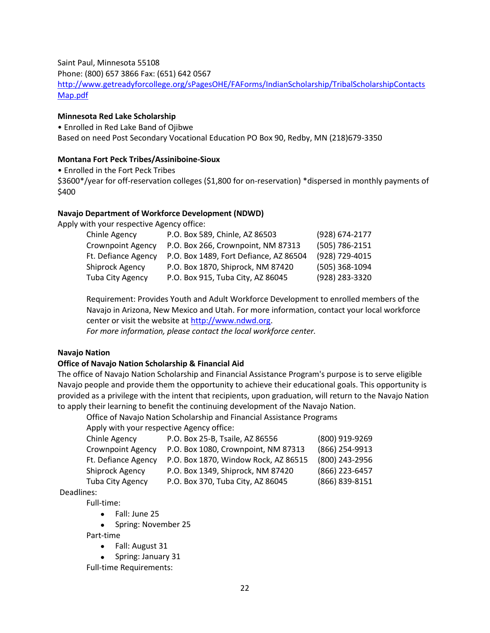Saint Paul, Minnesota 55108

Phone: (800) 657 3866 Fax: (651) 642 0567

[http://www.getreadyforcollege.org/sPagesOHE/FAForms/IndianScholarship/TribalScholarshipContacts](http://www.getreadyforcollege.org/sPagesOHE/FAForms/IndianScholarship/TribalScholarshipContactsMap.pdf) [Map.pdf](http://www.getreadyforcollege.org/sPagesOHE/FAForms/IndianScholarship/TribalScholarshipContactsMap.pdf)

# <span id="page-21-0"></span>**Minnesota Red Lake Scholarship**

• Enrolled in Red Lake Band of Ojibwe Based on need Post Secondary Vocational Education PO Box 90, Redby, MN (218)679-3350

# <span id="page-21-1"></span>**Montana Fort Peck Tribes/Assiniboine-Sioux**

• Enrolled in the Fort Peck Tribes

\$3600\*/year for off-reservation colleges (\$1,800 for on-reservation) \*dispersed in monthly payments of \$400

# <span id="page-21-2"></span>**Navajo Department of Workforce Development (NDWD)**

Apply with your respective Agency office:

| Chinle Agency            | P.O. Box 589, Chinle, AZ 86503         | (928) 674-2177 |
|--------------------------|----------------------------------------|----------------|
| <b>Crownpoint Agency</b> | P.O. Box 266, Crownpoint, NM 87313     | (505) 786-2151 |
| Ft. Defiance Agency      | P.O. Box 1489, Fort Defiance, AZ 86504 | (928) 729-4015 |
| Shiprock Agency          | P.O. Box 1870, Shiprock, NM 87420      | (505) 368-1094 |
| <b>Tuba City Agency</b>  | P.O. Box 915, Tuba City, AZ 86045      | (928) 283-3320 |

Requirement: Provides Youth and Adult Workforce Development to enrolled members of the Navajo in Arizona, New Mexico and Utah. For more information, contact your local workforce center or visit the website at [http://www.ndwd.org.](http://www.ndwd.org/)

*For more information, please contact the local workforce center.*

# **Navajo Nation**

# <span id="page-21-3"></span>**Office of Navajo Nation Scholarship & Financial Aid**

The office of Navajo Nation Scholarship and Financial Assistance Program's purpose is to serve eligible Navajo people and provide them the opportunity to achieve their educational goals. This opportunity is provided as a privilege with the intent that recipients, upon graduation, will return to the Navajo Nation to apply their learning to benefit the continuing development of the Navajo Nation.

Office of Navajo Nation Scholarship and Financial Assistance Programs

Apply with your respective Agency office:

| Chinle Agency            | P.O. Box 25-B, Tsaile, AZ 86556      | (800) 919-9269 |
|--------------------------|--------------------------------------|----------------|
| <b>Crownpoint Agency</b> | P.O. Box 1080, Crownpoint, NM 87313  | (866) 254-9913 |
| Ft. Defiance Agency      | P.O. Box 1870, Window Rock, AZ 86515 | (800) 243-2956 |
| Shiprock Agency          | P.O. Box 1349, Shiprock, NM 87420    | (866) 223-6457 |
| <b>Tuba City Agency</b>  | P.O. Box 370, Tuba City, AZ 86045    | (866) 839-8151 |

Deadlines:

Full-time:

- Fall: June 25
- Spring: November 25

Part-time

- Fall: August 31
- Spring: January 31

Full-time Requirements: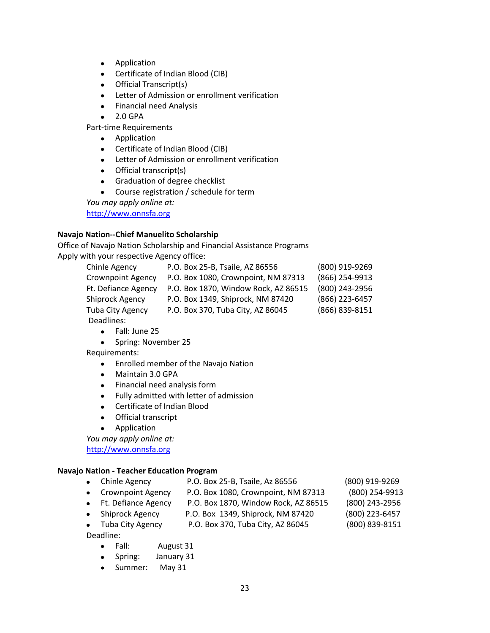- $\bullet$ Application
- Certificate of Indian Blood (CIB)
- Official Transcript(s)
- Letter of Admission or enrollment verification
- Financial need Analysis
- $\bullet$  2.0 GPA

Part-time Requirements

- Application
- Certificate of Indian Blood (CIB)
- Letter of Admission or enrollment verification
- Official transcript(s)
- Graduation of degree checklist
- Course registration / schedule for term

*You may apply online at:*

[http://www.onnsfa.org](http://www.onnsfa.org/)

# <span id="page-22-0"></span>**Navajo Nation--Chief Manuelito Scholarship**

Office of Navajo Nation Scholarship and Financial Assistance Programs Apply with your respective Agency office:

| Chinle Agency            | P.O. Box 25-B, Tsaile, AZ 86556      | (800) 919-9269 |
|--------------------------|--------------------------------------|----------------|
| <b>Crownpoint Agency</b> | P.O. Box 1080, Crownpoint, NM 87313  | (866) 254-9913 |
| Ft. Defiance Agency      | P.O. Box 1870, Window Rock, AZ 86515 | (800) 243-2956 |
| Shiprock Agency          | P.O. Box 1349, Shiprock, NM 87420    | (866) 223-6457 |
| <b>Tuba City Agency</b>  | P.O. Box 370, Tuba City, AZ 86045    | (866) 839-8151 |
| Deadlines:               |                                      |                |

- Fall: June 25
- Spring: November 25

Requirements:

- Enrolled member of the Navajo Nation
- Maintain 3.0 GPA
- Financial need analysis form
- Fully admitted with letter of admission
- Certificate of Indian Blood
- Official transcript
- **•** Application

*You may apply online at:*

[http://www.onnsfa.org](http://www.onnsfa.org/)

# <span id="page-22-1"></span>**Navajo Nation - Teacher Education Program**

- Chinle Agency P.O. Box 25-B, Tsaile, Az 86556 (800) 919-9269
- Crownpoint Agency P.O. Box 1080, Crownpoint, NM 87313 (800) 254-9913
	- Ft. Defiance Agency P.O. Box 1870, Window Rock, AZ 86515 (800) 243-2956
	- Shiprock Agency P.O. Box 1349, Shiprock, NM 87420 (800) 223-6457
		-
	- Tuba City Agency P.O. Box 370, Tuba City, AZ 86045 (800) 839-8151

Deadline:

- Fall: August 31
- Spring: January 31
- Summer: May 31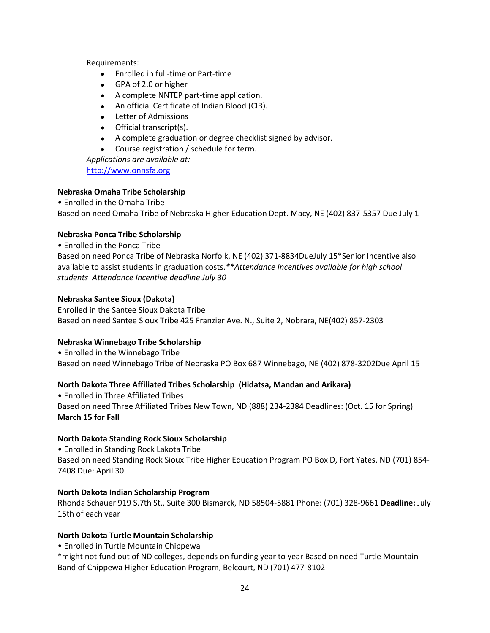Requirements:

- Enrolled in full-time or Part-time
- GPA of 2.0 or higher
- A complete NNTEP part-time application.
- An official Certificate of Indian Blood (CIB).
- Letter of Admissions
- Official transcript(s).
- A complete graduation or degree checklist signed by advisor.
- $\bullet$ Course registration / schedule for term.

*Applications are available at:* [http://www.onnsfa.org](http://www.onnsfa.org/)

# <span id="page-23-0"></span>**Nebraska Omaha Tribe Scholarship**

• Enrolled in the Omaha Tribe Based on need Omaha Tribe of Nebraska Higher Education Dept. Macy, NE (402) 837-5357 Due July 1

# <span id="page-23-1"></span>**Nebraska Ponca Tribe Scholarship**

• Enrolled in the Ponca Tribe Based on need Ponca Tribe of Nebraska Norfolk, NE (402) 371-8834DueJuly 15\*Senior Incentive also available to assist students in graduation costs.*\*\*Attendance Incentives available for high school students Attendance Incentive deadline July 30*

# <span id="page-23-2"></span>**Nebraska Santee Sioux (Dakota)**

Enrolled in the Santee Sioux Dakota Tribe Based on need Santee Sioux Tribe 425 Franzier Ave. N., Suite 2, Nobrara, NE(402) 857-2303

# <span id="page-23-3"></span>**Nebraska Winnebago Tribe Scholarship**

• Enrolled in the Winnebago Tribe Based on need Winnebago Tribe of Nebraska PO Box 687 Winnebago, NE (402) 878-3202Due April 15

# <span id="page-23-4"></span>**North Dakota Three Affiliated Tribes Scholarship (Hidatsa, Mandan and Arikara)**

• Enrolled in Three Affiliated Tribes Based on need Three Affiliated Tribes New Town, ND (888) 234-2384 Deadlines: (Oct. 15 for Spring) **March 15 for Fall** 

# <span id="page-23-5"></span>**North Dakota Standing Rock Sioux Scholarship**

• Enrolled in Standing Rock Lakota Tribe Based on need Standing Rock Sioux Tribe Higher Education Program PO Box D, Fort Yates, ND (701) 854- 7408 Due: April 30

# <span id="page-23-6"></span>**North Dakota Indian Scholarship Program**

Rhonda Schauer 919 S.7th St., Suite 300 Bismarck, ND 58504-5881 Phone: (701) 328-9661 **Deadline:** July 15th of each year

# <span id="page-23-7"></span>**North Dakota Turtle Mountain Scholarship**

• Enrolled in Turtle Mountain Chippewa

\*might not fund out of ND colleges, depends on funding year to year Based on need Turtle Mountain Band of Chippewa Higher Education Program, Belcourt, ND (701) 477-8102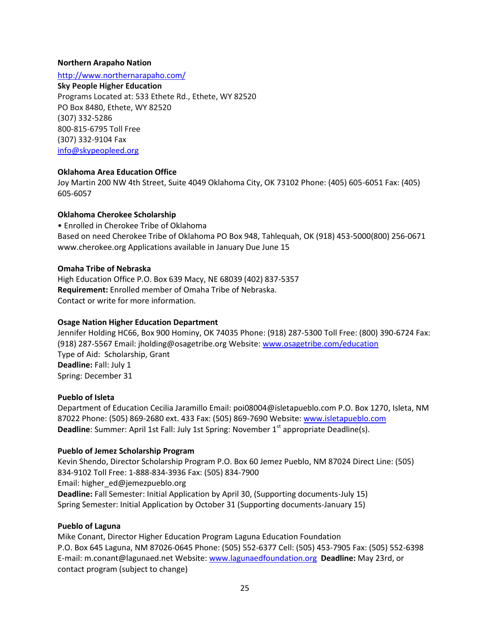# <span id="page-24-0"></span>**Northern Arapaho Nation**

<http://www.northernarapaho.com/>

#### **Sky People Higher Education**

Programs Located at: 533 Ethete Rd., Ethete, WY 82520 PO Box 8480, Ethete, WY 82520 (307) 332-5286 800-815-6795 Toll Free (307) 332-9104 Fax [info@skypeopleed.org](mailto:info@skypeopleed.org)

# <span id="page-24-1"></span>**Oklahoma Area Education Office**

Joy Martin 200 NW 4th Street, Suite 4049 Oklahoma City, OK 73102 Phone: (405) 605-6051 Fax: (405) 605-6057

# <span id="page-24-2"></span>**Oklahoma Cherokee Scholarship**

• Enrolled in Cherokee Tribe of Oklahoma Based on need Cherokee Tribe of Oklahoma PO Box 948, Tahlequah, OK (918) 453-5000(800) 256-0671 www.cherokee.org Applications available in January Due June 15

## <span id="page-24-3"></span>**Omaha Tribe of Nebraska**

High Education Office P.O. Box 639 Macy, NE 68039 (402) 837-5357 **Requirement:** Enrolled member of Omaha Tribe of Nebraska. Contact or write for more information*.*

# <span id="page-24-4"></span>**Osage Nation Higher Education Department**

Jennifer Holding HC66, Box 900 Hominy, OK 74035 Phone: (918) 287-5300 Toll Free: (800) 390-6724 Fax: (918) 287-5567 Email: jholding@osagetribe.org Website: [www.osagetribe.com/education](http://www.osagetribe.com/education) Type of Aid: Scholarship, Grant **Deadline:** Fall: July 1 Spring: December 31

#### <span id="page-24-5"></span>**Pueblo of Isleta**

Department of Education Cecilia Jaramillo Email: poi08004@isletapueblo.com P.O. Box 1270, Isleta, NM 87022 Phone: (505) 869-2680 ext. 433 Fax: (505) 869-7690 Website: [www.isletapueblo.com](http://www.isletapueblo.com/) **Deadline**: Summer: April 1st Fall: July 1st Spring: November 1<sup>st</sup> appropriate Deadline(s).

# <span id="page-24-6"></span>**Pueblo of Jemez Scholarship Program**

Kevin Shendo, Director Scholarship Program P.O. Box 60 Jemez Pueblo, NM 87024 Direct Line: (505) 834-9102 Toll Free: 1-888-834-3936 Fax: (505) 834-7900 Email: higher\_ed@jemezpueblo.org **Deadline:** Fall Semester: Initial Application by April 30, (Supporting documents-July 15) Spring Semester: Initial Application by October 31 (Supporting documents-January 15)

#### <span id="page-24-7"></span>**Pueblo of Laguna**

Mike Conant, Director Higher Education Program Laguna Education Foundation P.O. Box 645 Laguna, NM 87026-0645 Phone: (505) 552-6377 Cell: (505) 453-7905 Fax: (505) 552-6398 E-mail: m.conant@lagunaed.net Website[: www.lagunaedfoundation.org](http://www.lagunaedfoundation.org/) **Deadline:** May 23rd, or contact program (subject to change)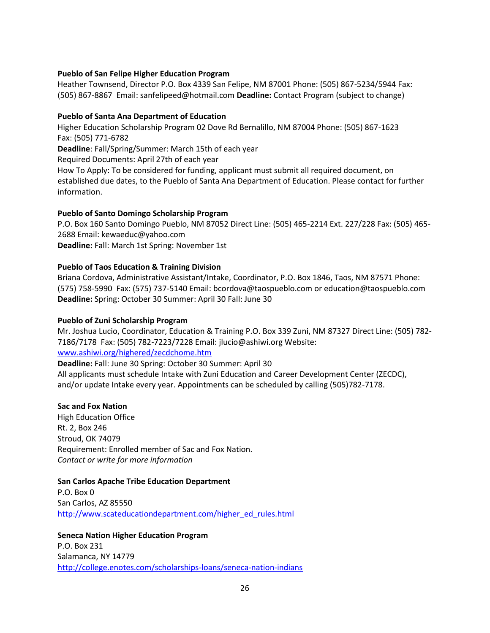# <span id="page-25-0"></span>**Pueblo of San Felipe Higher Education Program**

Heather Townsend, Director P.O. Box 4339 San Felipe, NM 87001 Phone: (505) 867-5234/5944 Fax: (505) 867-8867 Email: sanfelipeed@hotmail.com **Deadline:** Contact Program (subject to change)

# <span id="page-25-1"></span>**Pueblo of Santa Ana Department of Education**

Higher Education Scholarship Program 02 Dove Rd Bernalillo, NM 87004 Phone: (505) 867-1623 Fax: (505) 771-6782

**Deadline**: Fall/Spring/Summer: March 15th of each year

Required Documents: April 27th of each year

How To Apply: To be considered for funding, applicant must submit all required document, on established due dates, to the Pueblo of Santa Ana Department of Education. Please contact for further information.

## <span id="page-25-2"></span>**Pueblo of Santo Domingo Scholarship Program**

P.O. Box 160 Santo Domingo Pueblo, NM 87052 Direct Line: (505) 465-2214 Ext. 227/228 Fax: (505) 465- 2688 Email[: kewaeduc@yahoo.com](mailto:kewaeduc@yahoo.com) **Deadline:** Fall: March 1st Spring: November 1st

## <span id="page-25-3"></span>**Pueblo of Taos Education & Training Division**

Briana Cordova, Administrative Assistant/Intake, Coordinator, P.O. Box 1846, Taos, NM 87571 Phone: (575) 758-5990 Fax: (575) 737-5140 Email: bcordova@taospueblo.com or education@taospueblo.com **Deadline:** Spring: October 30 Summer: April 30 Fall: June 30

#### <span id="page-25-4"></span>**Pueblo of Zuni Scholarship Program**

Mr. Joshua Lucio, Coordinator, Education & Training P.O. Box 339 Zuni, NM 87327 Direct Line: (505) 782- 7186/7178 Fax: (505) 782-7223/7228 Email: jlucio@ashiwi.org Website: [www.ashiwi.org/highered/zecdchome.htm](http://www.ashiwi.org/highered/zecdchome.htm)

**Deadline:** Fall: June 30 Spring: October 30 Summer: April 30

All applicants must schedule Intake with Zuni Education and Career Development Center (ZECDC), and/or update Intake every year. Appointments can be scheduled by calling (505)782-7178.

# <span id="page-25-5"></span>**Sac and Fox Nation**

High Education Office Rt. 2, Box 246 Stroud, OK 74079 Requirement: Enrolled member of Sac and Fox Nation. *Contact or write for more information*

#### <span id="page-25-6"></span>**San Carlos Apache Tribe Education Department**

P.O. Box 0 San Carlos, AZ 85550 [http://www.scateducationdepartment.com/higher\\_ed\\_rules.html](http://www.scateducationdepartment.com/higher_ed_rules.html)

## <span id="page-25-7"></span>**Seneca Nation Higher Education Program** P.O. Box 231

Salamanca, NY 14779 <http://college.enotes.com/scholarships-loans/seneca-nation-indians>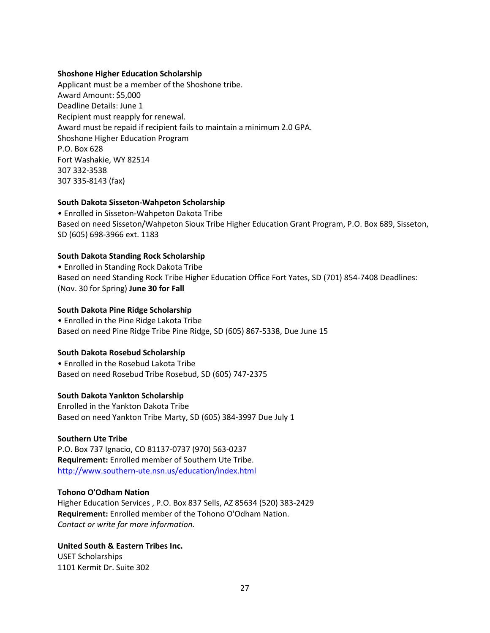## <span id="page-26-0"></span>**Shoshone Higher Education Scholarship**

Applicant must be a member of the Shoshone tribe. Award Amount: \$5,000 Deadline Details: June 1 Recipient must reapply for renewal. Award must be repaid if recipient fails to maintain a minimum 2.0 GPA. Shoshone Higher Education Program P.O. Box 628 Fort Washakie, WY 82514 307 332-3538 307 335-8143 (fax)

# <span id="page-26-1"></span>**South Dakota Sisseton-Wahpeton Scholarship**

• Enrolled in Sisseton-Wahpeton Dakota Tribe Based on need Sisseton/Wahpeton Sioux Tribe Higher Education Grant Program, P.O. Box 689, Sisseton, SD (605) 698-3966 ext. 1183

## <span id="page-26-2"></span>**South Dakota Standing Rock Scholarship**

• Enrolled in Standing Rock Dakota Tribe Based on need Standing Rock Tribe Higher Education Office Fort Yates, SD (701) 854-7408 Deadlines: (Nov. 30 for Spring) **June 30 for Fall** 

#### <span id="page-26-3"></span>**South Dakota Pine Ridge Scholarship**

• Enrolled in the Pine Ridge Lakota Tribe Based on need Pine Ridge Tribe Pine Ridge, SD (605) 867-5338, Due June 15

#### <span id="page-26-4"></span>**South Dakota Rosebud Scholarship**

• Enrolled in the Rosebud Lakota Tribe Based on need Rosebud Tribe Rosebud, SD (605) 747-2375

#### <span id="page-26-5"></span>**South Dakota Yankton Scholarship**

Enrolled in the Yankton Dakota Tribe Based on need Yankton Tribe Marty, SD (605) 384-3997 Due July 1

#### <span id="page-26-6"></span>**Southern Ute Tribe**

P.O. Box 737 Ignacio, CO 81137-0737 (970) 563-0237 **Requirement:** Enrolled member of Southern Ute Tribe. <http://www.southern-ute.nsn.us/education/index.html>

## <span id="page-26-7"></span>**Tohono O'Odham Nation**

Higher Education Services , P.O. Box 837 Sells, AZ 85634 (520) 383-2429 **Requirement:** Enrolled member of the Tohono O'Odham Nation. *Contact or write for more information.* 

# <span id="page-26-8"></span>**United South & Eastern Tribes Inc.**

USET Scholarships 1101 Kermit Dr. Suite 302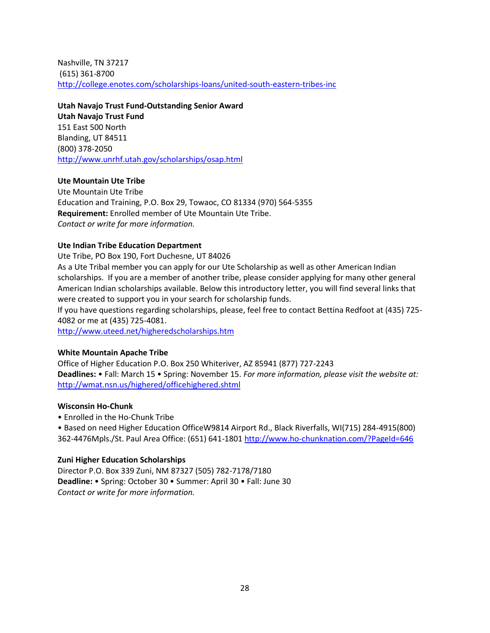Nashville, TN 37217 (615) 361-8700 <http://college.enotes.com/scholarships-loans/united-south-eastern-tribes-inc>

<span id="page-27-0"></span>**Utah Navajo Trust Fund-Outstanding Senior Award Utah Navajo Trust Fund** 151 East 500 North Blanding, UT 84511 (800) 378-2050 <http://www.unrhf.utah.gov/scholarships/osap.html>

## <span id="page-27-1"></span>**Ute Mountain Ute Tribe**

Ute Mountain Ute Tribe Education and Training, P.O. Box 29, Towaoc, CO 81334 (970) 564-5355 **Requirement:** Enrolled member of Ute Mountain Ute Tribe. *Contact or write for more information.*

## <span id="page-27-2"></span>**Ute Indian Tribe Education Department**

Ute Tribe, PO Box 190, Fort Duchesne, UT 84026 As a Ute Tribal member you can apply for our Ute Scholarship as well as other American Indian scholarships. If you are a member of another tribe, please consider applying for many other general American Indian scholarships available. Below this introductory letter, you will find several links that were created to support you in your search for scholarship funds.

If you have questions regarding scholarships, please, feel free to contact Bettina Redfoot at (435) 725- 4082 or me at (435) 725-4081.

<http://www.uteed.net/higheredscholarships.htm>

# <span id="page-27-3"></span>**White Mountain Apache Tribe**

Office of Higher Education P.O. Box 250 Whiteriver, AZ 85941 (877) 727-2243 **Deadlines:** • Fall: March 15 • Spring: November 15. *For more information, please visit the website at:*  <http://wmat.nsn.us/highered/officehighered.shtml>

# <span id="page-27-4"></span>**Wisconsin Ho-Chunk**

• Enrolled in the Ho-Chunk Tribe

• Based on need Higher Education OfficeW9814 Airport Rd., Black Riverfalls, WI(715) 284-4915(800) 362-4476Mpls./St. Paul Area Office: (651) 641-180[1 http://www.ho-chunknation.com/?PageId=646](http://www.ho-chunknation.com/?PageId=646)

#### <span id="page-27-5"></span>**Zuni Higher Education Scholarships**

Director P.O. Box 339 Zuni, NM 87327 (505) 782-7178/7180 **Deadline:** • Spring: October 30 • Summer: April 30 • Fall: June 30 *Contact or write for more information.*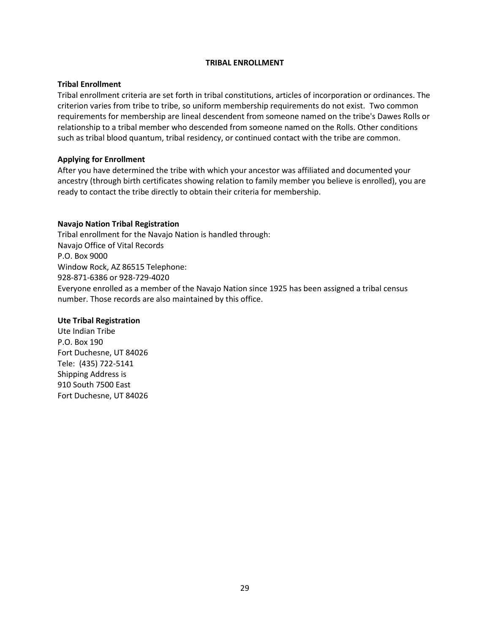#### **TRIBAL ENROLLMENT**

## <span id="page-28-0"></span>**Tribal Enrollment**

Tribal enrollment criteria are set forth in tribal constitutions, articles of incorporation or ordinances. The criterion varies from tribe to tribe, so uniform membership requirements do not exist. Two common requirements for membership are lineal descendent from someone named on the tribe's Dawes Rolls or relationship to a tribal member who descended from someone named on the Rolls. Other conditions such as tribal blood quantum, tribal residency, or continued contact with the tribe are common.

## **Applying for Enrollment**

After you have determined the tribe with which your ancestor was affiliated and documented your ancestry (through birth certificates showing relation to family member you believe is enrolled), you are ready to contact the tribe directly to obtain their criteria for membership.

# <span id="page-28-1"></span>**Navajo Nation Tribal Registration**

Tribal enrollment for the Navajo Nation is handled through: Navajo Office of Vital Records P.O. Box 9000 Window Rock, AZ 86515 Telephone: 928-871-6386 or 928-729-4020 Everyone enrolled as a member of the Navajo Nation since 1925 has been assigned a tribal census number. Those records are also maintained by this office.

# <span id="page-28-2"></span>**Ute Tribal Registration**

Ute Indian Tribe P.O. Box 190 Fort Duchesne, UT 84026 Tele: (435) 722-5141 Shipping Address is 910 South 7500 East Fort Duchesne, UT 84026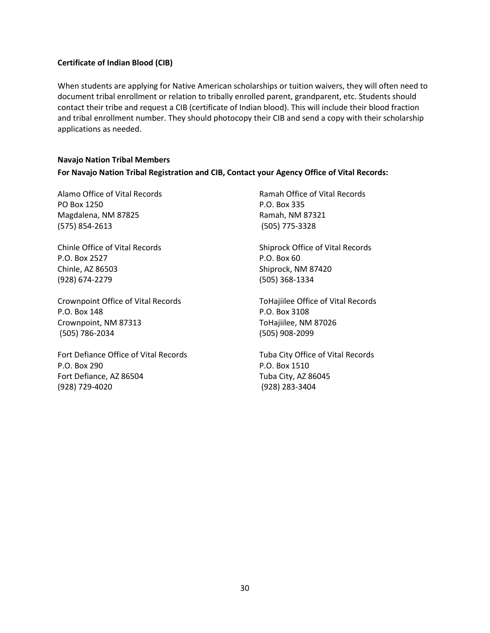# <span id="page-29-0"></span>**Certificate of Indian Blood (CIB)**

When students are applying for Native American scholarships or tuition waivers, they will often need to document tribal enrollment or relation to tribally enrolled parent, grandparent, etc. Students should contact their tribe and request a CIB (certificate of Indian blood). This will include their blood fraction and tribal enrollment number. They should photocopy their CIB and send a copy with their scholarship applications as needed.

# <span id="page-29-1"></span>**Navajo Nation Tribal Members For Navajo Nation Tribal Registration and CIB, Contact your Agency Office of Vital Records:**

Alamo Office of Vital Records PO Box 1250 Magdalena, NM 87825 (575) 854-2613

Chinle Office of Vital Records P.O. Box 2527 Chinle, AZ 86503 (928) 674-2279

Crownpoint Office of Vital Records P.O. Box 148 Crownpoint, NM 87313 (505) 786-2034

Fort Defiance Office of Vital Records P.O. Box 290 Fort Defiance, AZ 86504 (928) 729-4020

Ramah Office of Vital Records P.O. Box 335 Ramah, NM 87321 (505) 775-3328

Shiprock Office of Vital Records P.O. Box 60 Shiprock, NM 87420 (505) 368-1334

ToHajiilee Office of Vital Records P.O. Box 3108 ToHajiilee, NM 87026 (505) 908-2099

Tuba City Office of Vital Records P.O. Box 1510 Tuba City, AZ 86045 (928) 283-3404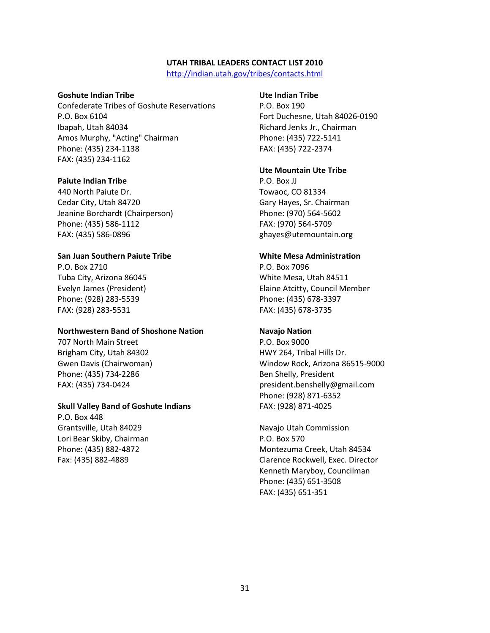#### **UTAH TRIBAL LEADERS CONTACT LIST 2010**

<http://indian.utah.gov/tribes/contacts.html>

#### <span id="page-30-0"></span>**Goshute Indian Tribe**

Confederate Tribes of Goshute Reservations P.O. Box 6104 Ibapah, Utah 84034 Amos Murphy, "Acting" Chairman Phone: (435) 234-1138 FAX: (435) 234-1162

#### **Paiute Indian Tribe**

440 North Paiute Dr. Cedar City, Utah 84720 Jeanine Borchardt (Chairperson) Phone: (435) 586-1112 FAX: (435) 586-0896

#### **San Juan Southern Paiute Tribe**

P.O. Box 2710 Tuba City, Arizona 86045 Evelyn James (President) Phone: (928) 283-5539 FAX: (928) 283-5531

#### **[Northwestern Band of Shoshone Nation](http://www.nwbshoshone-nsn.gov/)**

707 North Main Street Brigham City, Utah 84302 Gwen Davis (Chairwoman) Phone: (435) 734-2286 FAX: (435) 734-0424

#### **Skull Valley Band of Goshute Indians**

P.O. Box 448 Grantsville, Utah 84029 Lori Bear Skiby, Chairman Phone: (435) 882-4872 Fax: (435) 882-4889

#### **[Ute Indian Tribe](http://www.uteindian.com/)**

P.O. Box 190 Fort Duchesne, Utah 84026-0190 Richard Jenks Jr., Chairman Phone: (435) 722-5141 FAX: (435) 722-2374

#### **[Ute Mountain Ute Tribe](http://www.utemountianute.com/)**

P.O. Box JJ Towaoc, CO 81334 Gary Hayes, Sr. Chairman Phone: (970) 564-5602 FAX: (970) 564-5709 [ghayes@utemountain.org](mailto:ghayes@utemountain.org)

#### **White Mesa Administration**

P.O. Box 7096 White Mesa, Utah 84511 Elaine Atcitty, Council Member Phone: (435) 678-3397 FAX: (435) 678-3735

#### **[Navajo Nation](http://www.navajo.org/)**

P.O. Box 9000 HWY 264, Tribal Hills Dr. Window Rock, Arizona 86515-9000 Ben Shelly, President [president.benshelly@gmail.com](mailto:president.benshelly@gmail.com) Phone: (928) 871-6352 FAX: (928) 871-4025

[Navajo Utah Commission](http://www.navajonationcouncil.org/) P.O. Box 570 Montezuma Creek, Utah 84534 Clarence Rockwell, Exec. Director Kenneth Maryboy, Councilman Phone: (435) 651-3508 FAX: (435) 651-351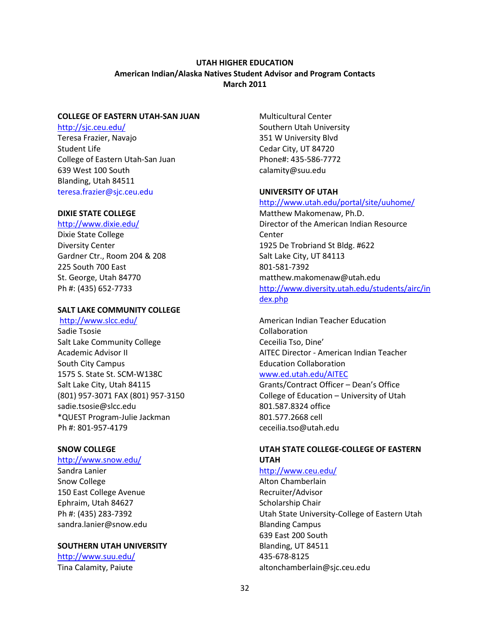# **UTAH HIGHER EDUCATION American Indian/Alaska Natives Student Advisor and Program Contacts March 2011**

#### <span id="page-31-0"></span>**COLLEGE OF EASTERN UTAH-SAN JUAN**

http://sjc.ceu.edu/ Teresa Frazier, Navajo Student Life College of Eastern Utah-San Juan 639 West 100 South Blanding, Utah 84511 [teresa.frazier@sjc.ceu.edu](mailto:teresa.frazier@sjc.ceu.edu)

#### **DIXIE STATE COLLEGE**

<http://www.dixie.edu/>

Dixie State College Diversity Center Gardner Ctr., Room 204 & 208 225 South 700 East St. George, Utah 84770 Ph #: (435) 652-7733

#### **SALT LAKE COMMUNITY COLLEGE**

http://www.slcc.edu/

Sadie Tsosie Salt Lake Community College Academic Advisor II South City Campus 1575 S. State St. SCM-W138C Salt Lake City, Utah 84115 (801) 957-3071 FAX (801) 957-3150 [sadie.tsosie@slcc.edu](mailto:sadie.tsosie@slcc.edu) \*QUEST Program-Julie Jackman Ph #: 801-957-4179

#### **SNOW COLLEGE**

#### http://www.snow.edu/

Sandra Lanier Snow College 150 East College Avenue Ephraim, Utah 84627 Ph #: (435) 283-7392 [sandra.lanier@snow.edu](mailto:sandra.lanier@snow.edu)

#### **SOUTHERN UTAH UNIVERSITY**

<http://www.suu.edu/> Tina Calamity, Paiute

Multicultural Center Southern Utah University 351 W University Blvd Cedar City, UT 84720 Phone#: 435-586-7772 calamity@suu.edu

#### **UNIVERSITY OF UTAH**

#### <http://www.utah.edu/portal/site/uuhome/>

Matthew Makomenaw, Ph.D. Director of the American Indian Resource Center 1925 De Trobriand St Bldg. #622 Salt Lake City, UT 84113 801-581-7392 [matthew.makomenaw@utah.edu](mailto:matthew.makomenaw@utah.edu) [http://www.diversity.utah.edu/students/airc/in](http://www.diversity.utah.edu/students/airc/index.php) [dex.php](http://www.diversity.utah.edu/students/airc/index.php)

American Indian Teacher Education Collaboration Ceceilia Tso, Dine' AITEC Director - American Indian Teacher Education Collaboration

#### [www.ed.utah.edu/AITEC](http://www.ed.utah.edu/AITEC)

Grants/Contract Officer – Dean's Office College of Education – University of Utah 801.587.8324 office 801.577.2668 cell ceceilia.tso@utah.edu

# **UTAH STATE COLLEGE-COLLEGE OF EASTERN UTAH**

<http://www.ceu.edu/> Alton Chamberlain Recruiter/Advisor Scholarship Chair Utah State University-College of Eastern Utah Blanding Campus 639 East 200 South Blanding, UT 84511 435-678-8125 [altonchamberlain@sjc.ceu.edu](mailto:altonchamberlain@sjc.ceu.edu)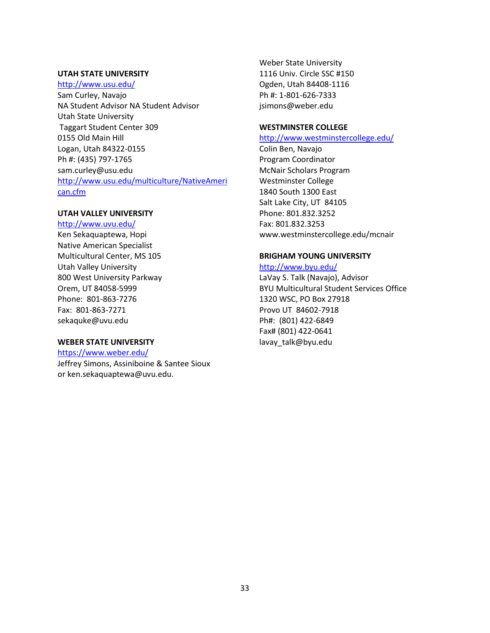#### **UTAH STATE UNIVERSITY**

#### <http://www.usu.edu/>

Sam Curley, Navajo NA Student Advisor NA Student Advisor Utah State University Taggart Student Center 309 0155 Old Main Hill Logan, Utah 84322-0155 Ph #: (435) 797-1765 [sam.curley@usu.edu](mailto:sam.curley@usu.edu) [http://www.usu.edu/multiculture/NativeAmeri](http://www.usu.edu/multiculture/NativeAmerican.cfm) [can.cfm](http://www.usu.edu/multiculture/NativeAmerican.cfm)

#### **UTAH VALLEY UNIVERSITY**

<http://www.uvu.edu/> Ken Sekaquaptewa, Hopi Native American Specialist Multicultural Center, MS 105 Utah Valley University 800 West University Parkway Orem, UT 84058-5999 Phone: 801-863-7276 Fax: 801-863-7271 [sekaquke@uvu.edu](mailto:sekaquke@uvu.edu)

#### **WEBER STATE UNIVERSITY**

<https://www.weber.edu/> Jeffrey Simons, Assiniboine & Santee Sioux or [ken.sekaquaptewa@uvu.edu.](mailto:ken.sekaquaptewa@uvu.edu)

Weber State University 1116 Univ. Circle SSC #150 Ogden, Utah 84408-1116 Ph #: 1-801-626-7333 jsimons@weber.edu

# **WESTMINSTER COLLEGE**

# <http://www.westminstercollege.edu/>

Colin Ben, Navajo Program Coordinator McNair Scholars Program Westminster College 1840 South 1300 East Salt Lake City, UT 84105 Phone: 801.832.3252 Fax: 801.832.3253 www.westminstercollege.edu/mcnair

## **BRIGHAM YOUNG UNIVERSITY**

#### <http://www.byu.edu/>

LaVay S. Talk (Navajo), Advisor BYU Multicultural Student Services Office 1320 WSC, PO Box 27918 Provo UT 84602-7918 Ph#: (801) 422-6849 Fax# (801) 422-0641 lavay talk@byu.edu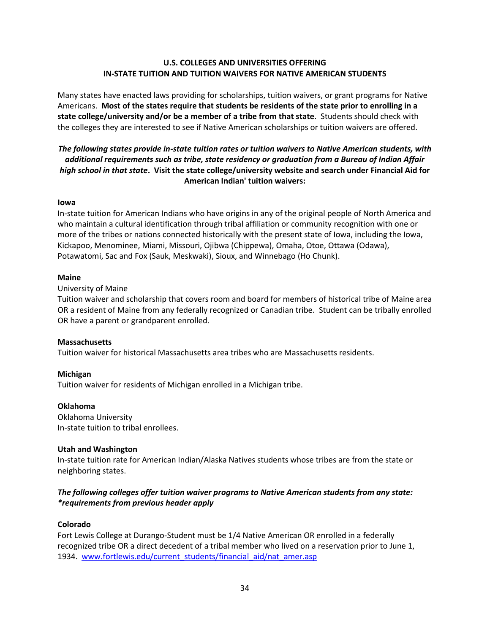# **U.S. COLLEGES AND UNIVERSITIES OFFERING IN-STATE TUITION AND TUITION WAIVERS FOR NATIVE AMERICAN STUDENTS**

<span id="page-33-1"></span><span id="page-33-0"></span>Many states have enacted laws providing for scholarships, tuition waivers, or grant programs for Native Americans. **Most of the states require that students be residents of the state prior to enrolling in a state college/university and/or be a member of a tribe from that state**. Students should check with the colleges they are interested to see if Native American scholarships or tuition waivers are offered.

# *The following states provide in-state tuition rates or tuition waivers to Native American students, with additional requirements such as tribe, state residency or graduation from a Bureau of Indian Affair high school in that state***. Visit the state college/university website and search under Financial Aid for American Indian' tuition waivers:**

## **Iowa**

In-state tuition for American Indians who have origins in any of the original people of North America and who maintain a cultural identification through tribal affiliation or community recognition with one or more of the tribes or nations connected historically with the present state of Iowa, including the Iowa, Kickapoo, Menominee, Miami, Missouri, Ojibwa (Chippewa), Omaha, Otoe, Ottawa (Odawa), Potawatomi, Sac and Fox (Sauk, Meskwaki), Sioux, and Winnebago (Ho Chunk).

## **Maine**

## University of Maine

Tuition waiver and scholarship that covers room and board for members of historical tribe of Maine area OR a resident of Maine from any federally recognized or Canadian tribe. Student can be tribally enrolled OR have a parent or grandparent enrolled.

# **Massachusetts**

Tuition waiver for historical Massachusetts area tribes who are Massachusetts residents.

# **Michigan**

Tuition waiver for residents of Michigan enrolled in a Michigan tribe.

# **Oklahoma**

Oklahoma University In-state tuition to tribal enrollees.

# **Utah and Washington**

In-state tuition rate for American Indian/Alaska Natives students whose tribes are from the state or neighboring states.

# *The following colleges offer tuition waiver programs to Native American students from any state: \*requirements from previous header apply*

# **Colorado**

Fort Lewis College at Durango-Student must be 1/4 Native American OR enrolled in a federally recognized tribe OR a direct decedent of a tribal member who lived on a reservation prior to June 1, 1934. [www.fortlewis.edu/current\\_students/financial\\_aid/nat\\_amer.asp](http://www.fortlewis.edu/current_students/financial_aid/nat_amer.asp)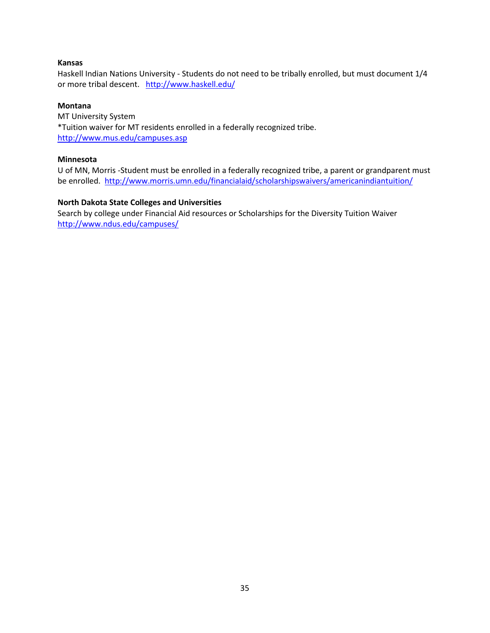## **Kansas**

Haskell Indian Nations University - Students do not need to be tribally enrolled, but must document 1/4 or more tribal descent. <http://www.haskell.edu/>

## **Montana**

MT University System \*Tuition waiver for MT residents enrolled in a federally recognized tribe. <http://www.mus.edu/campuses.asp>

# **Minnesota**

U of MN, Morris -Student must be enrolled in a federally recognized tribe, a parent or grandparent must be enrolled.<http://www.morris.umn.edu/financialaid/scholarshipswaivers/americanindiantuition/>

# **North Dakota State Colleges and Universities**

Search by college under Financial Aid resources or Scholarships for the Diversity Tuition Waiver <http://www.ndus.edu/campuses/>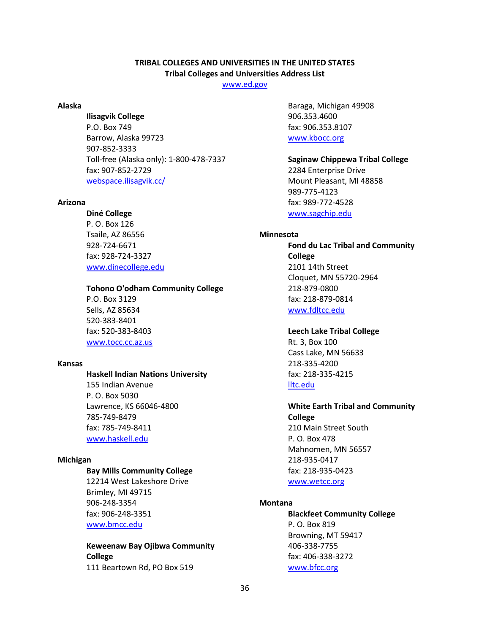# **TRIBAL COLLEGES AND UNIVERSITIES IN THE UNITED STATES Tribal Colleges and Universities Address List**

[www.ed.gov](http://www.ed.gov/)

#### <span id="page-35-1"></span><span id="page-35-0"></span>**Alaska**

#### **Ilisagvik College**

P.O. Box 749 Barrow, Alaska 99723 907-852-3333 Toll-free (Alaska only): 1-800-478-7337 fax: 907-852-2729 [webspace.ilisagvik.cc/](http://webspace.ilisagvik.cc/)

#### <span id="page-35-2"></span>**Arizona**

#### **Diné College**

P. O. Box 126 Tsaile, AZ 86556 928-724-6671 fax: 928-724-3327 [www.dinecollege.edu](http://www.dinecollege.edu/)

## **Tohono O'odham Community College**

P.O. Box 3129 Sells, AZ 85634 520-383-8401 fax: 520-383-8403 [www.tocc.cc.az.us](http://www.tocc.cc.az.us/)

#### <span id="page-35-3"></span>**Kansas**

#### **Haskell Indian Nations University**

155 Indian Avenue P. O. Box 5030 Lawrence, KS 66046-4800 785-749-8479 fax: 785-749-8411 [www.haskell.edu](http://www.haskell.edu/)

#### <span id="page-35-4"></span>**Michigan**

#### **Bay Mills Community College**

12214 West Lakeshore Drive Brimley, MI 49715 906-248-3354 fax: 906-248-3351 [www.bmcc.edu](http://www.bmcc.edu/)

**Keweenaw Bay Ojibwa Community College** 111 Beartown Rd, PO Box 519

Baraga, Michigan 49908 906.353.4600 fax: 906.353.8107 [www.kbocc.org](http://www.kbocc.org/)

**Saginaw Chippewa Tribal College** 2284 Enterprise Drive Mount Pleasant, MI 48858 989-775-4123 fax: 989-772-4528 [www.sagchip.edu](http://www.sagchip.edu/)

### <span id="page-35-5"></span>**Minnesota**

**Fond du Lac Tribal and Community College** 2101 14th Street Cloquet, MN 55720-2964 218-879-0800 fax: 218-879-0814 [www.fdltcc.edu](http://www.fdltcc.edu/)

#### **Leech Lake Tribal College**

Rt. 3, Box 100 Cass Lake, MN 56633 218-335-4200 fax: 218-335-4215 [lltc.edu](http://lltc.edu/)

# **White Earth Tribal and Community**

**College** 210 Main Street South P. O. Box 478 Mahnomen, MN 56557 218-935-0417 fax: 218-935-0423 [www.wetcc.org](http://www.wetcc.org/)

#### <span id="page-35-6"></span>**Montana**

**Blackfeet Community College** P. O. Box 819 Browning, MT 59417 406-338-7755 fax: 406-338-3272 [www.bfcc.org](http://www.bfcc.org/)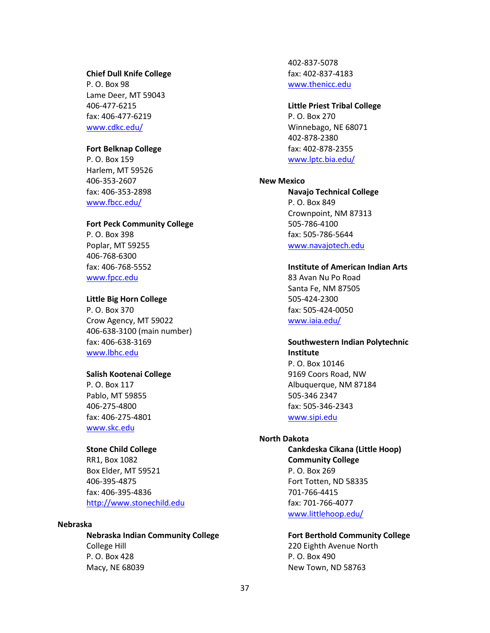#### **Chief Dull Knife College**

P. O. Box 98 Lame Deer, MT 59043 406-477-6215 fax: 406-477-6219 [www.cdkc.edu/](http://www.cdkc.edu/)

# **Fort Belknap College**

P. O. Box 159 Harlem, MT 59526 406-353-2607 fax: 406-353-2898 [www.fbcc.edu/](http://www.fbcc.edu/)

#### **Fort Peck Community College**

P. O. Box 398 Poplar, MT 59255 406-768-6300 fax: 406-768-5552 [www.fpcc.edu](http://www.fpcc.edu/)

#### **Little Big Horn College**

P. O. Box 370 Crow Agency, MT 59022 406-638-3100 (main number) fax: 406-638-3169 [www.lbhc.edu](http://www.lbhc.edu/)

#### **Salish Kootenai College**

P. O. Box 117 Pablo, MT 59855 406-275-4800 fax: 406-275-4801 [www.skc.edu](http://www.skc.edu/)

# **Stone Child College**

RR1, Box 1082 Box Elder, MT 59521 406-395-4875 fax: 406-395-4836 [http://www.stonechild.edu](http://www.stonechild.edu/)

#### <span id="page-36-0"></span>**Nebraska**

**Nebraska Indian Community College** College Hill P. O. Box 428 Macy, NE 68039

402-837-5078 fax: 402-837-4183 [www.thenicc.edu](http://www.thenicc.edu/)

#### **Little Priest Tribal College**

P. O. Box 270 Winnebago, NE 68071 402-878-2380 fax: 402-878-2355 [www.lptc.bia.edu/](http://www.lptc.bia.edu/)

#### <span id="page-36-1"></span>**New Mexico**

**Navajo Technical College** P. O. Box 849 Crownpoint, NM 87313 505-786-4100 fax: 505-786-5644 [www.navajotech.edu](http://www.navajotech.edu/)

# **Institute of American Indian Arts**

83 Avan Nu Po Road Santa Fe, NM 87505 505-424-2300 fax: 505-424-0050 [www.iaia.edu/](http://www.iaia.edu/)

# **Southwestern Indian Polytechnic Institute**

P. O. Box 10146 9169 Coors Road, NW Albuquerque, NM 87184 505-346 2347 fax: 505-346-2343 [www.sipi.edu](http://www.sipi.edu/)

#### <span id="page-36-2"></span>**North Dakota**

**Cankdeska Cikana (Little Hoop) Community College** P. O. Box 269 Fort Totten, ND 58335 701-766-4415 fax: 701-766-4077 [www.littlehoop.edu/](http://www.littlehoop.edu/)

**Fort Berthold Community College**

220 Eighth Avenue North P. O. Box 490 New Town, ND 58763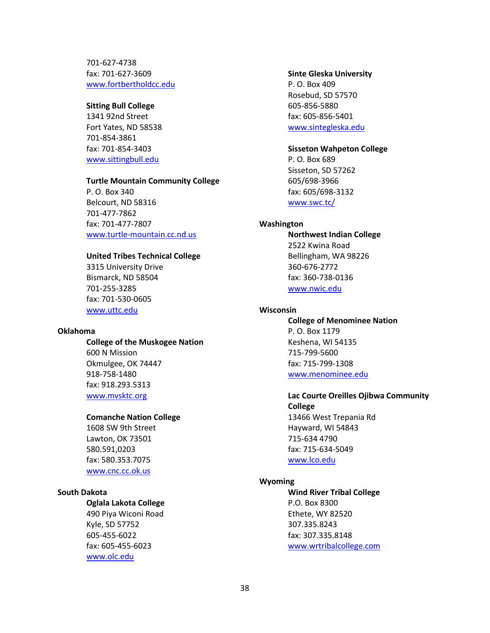701-627-4738 fax: 701-627-3609 [www.fortbertholdcc.edu](http://www.fortbertholdcc.edu/)

#### **Sitting Bull College**

1341 92nd Street Fort Yates, ND 58538 701-854-3861 fax: 701-854-3403 [www.sittingbull.edu](http://www.sittingbull.edu/)

#### **Turtle Mountain Community College**

P. O. Box 340 Belcourt, ND 58316 701-477-7862 fax: 701-477-7807 [www.turtle-mountain.cc.nd.us](http://www.turtle-mountain.cc.nd.us/)

#### **United Tribes Technical College**

3315 University Drive Bismarck, ND 58504 701-255-3285 fax: 701-530-0605 [www.uttc.edu](http://www.uttc.edu/)

#### <span id="page-37-0"></span>**Oklahoma**

#### **College of the Muskogee Nation**

600 N Mission Okmulgee, OK 74447 918-758-1480 fax: 918.293.5313 [www.mvsktc.org](http://www.mvsktc.org/)

#### **Comanche Nation College**

1608 SW 9th Street Lawton, OK 73501 580.591,0203 fax: 580.353.7075 [www.cnc.cc.ok.us](http://www.cnc.cc.ok.us/)

# <span id="page-37-1"></span>**South Dakota**

# **Oglala Lakota College**

490 Piya Wiconi Road Kyle, SD 57752 605-455-6022 fax: 605-455-6023 [www.olc.edu](http://www.olc.edu/)

#### **Sinte Gleska University**

P. O. Box 409 Rosebud, SD 57570 605-856-5880 fax: 605-856-5401 [www.sintegleska.edu](http://www.sintegleska.edu/)

#### **Sisseton Wahpeton College**

P. O. Box 689 Sisseton, SD 57262 605/698-3966 fax: 605/698-3132 [www.swc.tc/](http://www.swc.tc/)

#### <span id="page-37-2"></span>**Washington**

**Northwest Indian College** 2522 Kwina Road Bellingham, WA 98226 360-676-2772 fax: 360-738-0136 [www.nwic.edu](http://www.nwic.edu/)

#### <span id="page-37-3"></span>**Wisconsin**

**College of Menominee Nation** P. O. Box 1179 Keshena, WI 54135 715-799-5600 fax: 715-799-1308 [www.menominee.edu](http://www.menominee.edu/)

# **Lac Courte Oreilles Ojibwa Community**

**College** 13466 West Trepania Rd Hayward, WI 54843 715-634 4790 fax: 715-634-5049 [www.lco.edu](http://www.lco.edu/)

## <span id="page-37-4"></span>**Wyoming**

**Wind River Tribal College** P.O. Box 8300 Ethete, WY 82520 307.335.8243 fax: 307.335.8148 [www.wrtribalcollege.com](http://www.wrtribalcollege.com/)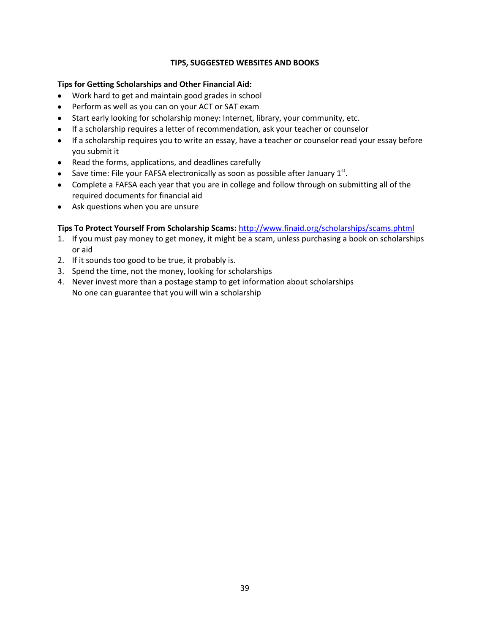# **TIPS, SUGGESTED WEBSITES AND BOOKS**

# <span id="page-38-0"></span>**Tips for Getting Scholarships and Other Financial Aid:**

- Work hard to get and maintain good grades in school
- Perform as well as you can on your ACT or SAT exam
- Start early looking for scholarship money: Internet, library, your community, etc.
- If a scholarship requires a letter of recommendation, ask your teacher or counselor
- If a scholarship requires you to write an essay, have a teacher or counselor read your essay before you submit it
- Read the forms, applications, and deadlines carefully
- Save time: File your FAFSA electronically as soon as possible after January 1 $^{\rm st}$ .
- Complete a FAFSA each year that you are in college and follow through on submitting all of the required documents for financial aid
- Ask questions when you are unsure

# **Tips To Protect Yourself From Scholarship Scams:** <http://www.finaid.org/scholarships/scams.phtml>

- 1. If you must pay money to get money, it might be a scam, unless purchasing a book on scholarships or aid
- 2. If it sounds too good to be true, it probably is.
- 3. Spend the time, not the money, looking for scholarships
- 4. Never invest more than a postage stamp to get information about scholarships No one can guarantee that you will win a scholarship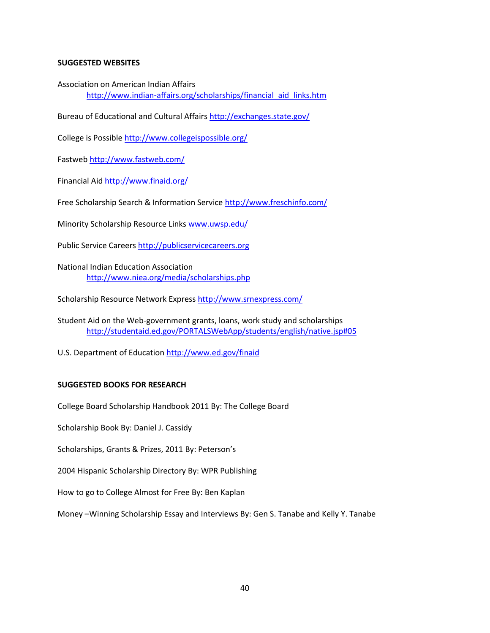## <span id="page-39-0"></span>**SUGGESTED WEBSITES**

Association on American Indian Affairs

[http://www.indian-affairs.org/scholarships/financial\\_aid\\_links.htm](http://www.indian-affairs.org/scholarships/financial_aid_links.htm)

Bureau of Educational and Cultural Affair[s http://exchanges.state.gov/](http://exchanges.state.gov/)

College is Possibl[e http://www.collegeispossible.org/](http://www.collegeispossible.org/)

Fastweb<http://www.fastweb.com/>

Financial Aid<http://www.finaid.org/>

Free Scholarship Search & Information Service<http://www.freschinfo.com/>

Minority Scholarship Resource Links [www.uwsp.edu/](http://www.uwsp.edu/)

Public Service Career[s http://publicservicecareers.org](http://publicservicecareers.org/)

National Indian Education Association <http://www.niea.org/media/scholarships.php>

Scholarship Resource Network Express<http://www.srnexpress.com/>

Student Aid on the Web-government grants, loans, work study and scholarships [http://studentaid.ed.gov/PORTALSWebApp/students/english/native.jsp#05](http://studentaid.ed.gov/PORTALSWebApp/students/english/native.jsp%2305)

U.S. Department of Education<http://www.ed.gov/finaid>

# <span id="page-39-1"></span>**SUGGESTED BOOKS FOR RESEARCH**

College Board Scholarship Handbook 2011 By: The College Board

Scholarship Book By: Daniel J. Cassidy

Scholarships, Grants & Prizes, 2011 By: Peterson's

2004 Hispanic Scholarship Directory By: WPR Publishing

How to go to College Almost for Free By: Ben Kaplan

Money –Winning Scholarship Essay and Interviews By: Gen S. Tanabe and Kelly Y. Tanabe